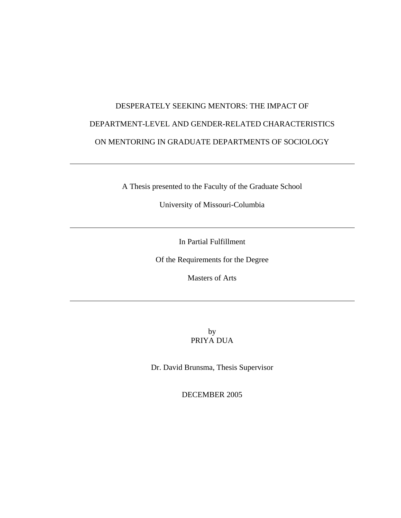# DESPERATELY SEEKING MENTORS: THE IMPACT OF DEPARTMENT-LEVEL AND GENDER-RELATED CHARACTERISTICS ON MENTORING IN GRADUATE DEPARTMENTS OF SOCIOLOGY

A Thesis presented to the Faculty of the Graduate School

University of Missouri-Columbia

In Partial Fulfillment

Of the Requirements for the Degree

Masters of Arts

by PRIYA DUA

Dr. David Brunsma, Thesis Supervisor

DECEMBER 2005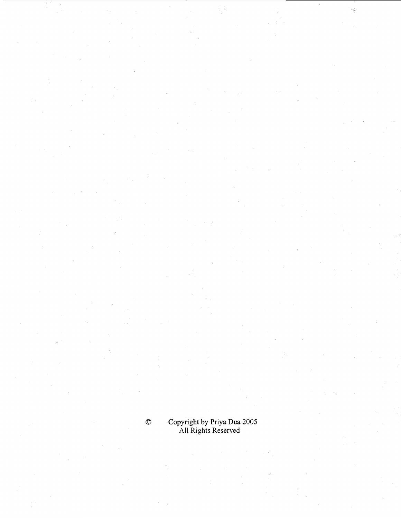# Copyright by Priya Dua 2005<br>All Rights Reserved

 $\pmb{\mathbb{O}}$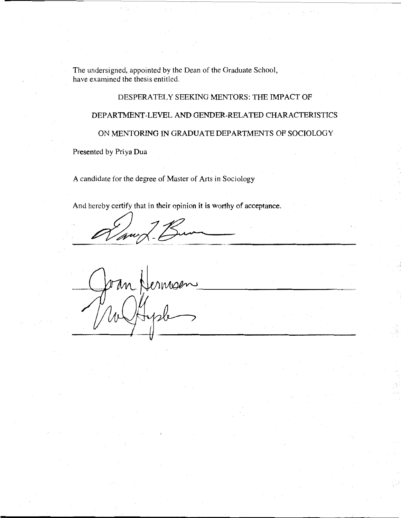The undersigned, appointed by the Dean of the Graduate School, have examined the thesis entitled.

#### DESPERATELY SEEKING MENTORS: THE IMPACT OF

#### DEPARTMENT-LEVEL AND GENDER-RELATED CHARACTERISTICS

#### ON MENTORING IN GRADUATE DEPARTMENTS OF SOCIOLOGY

Presented by Priya Dua

A candidate for the degree of Master of Arts in Sociology

And hereby certify that in their opinion it is worthy of acceptance.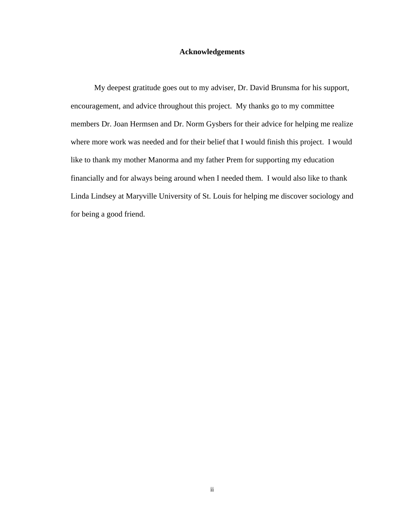#### **Acknowledgements**

My deepest gratitude goes out to my adviser, Dr. David Brunsma for his support, encouragement, and advice throughout this project. My thanks go to my committee members Dr. Joan Hermsen and Dr. Norm Gysbers for their advice for helping me realize where more work was needed and for their belief that I would finish this project. I would like to thank my mother Manorma and my father Prem for supporting my education financially and for always being around when I needed them. I would also like to thank Linda Lindsey at Maryville University of St. Louis for helping me discover sociology and for being a good friend.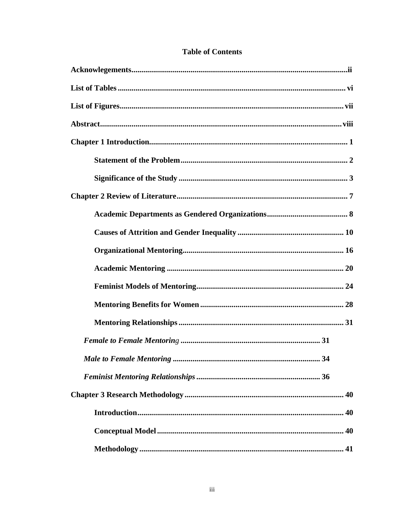| 34 |
|----|
|    |
|    |
|    |
|    |
|    |

### **Table of Contents**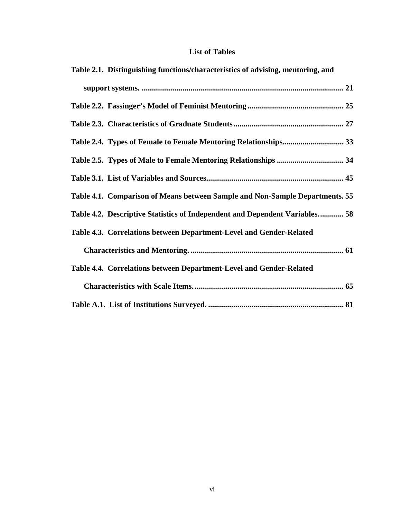## **List of Tables**

| Table 2.1. Distinguishing functions/characteristics of advising, mentoring, and |
|---------------------------------------------------------------------------------|
|                                                                                 |
|                                                                                 |
|                                                                                 |
|                                                                                 |
|                                                                                 |
|                                                                                 |
| Table 4.1. Comparison of Means between Sample and Non-Sample Departments. 55    |
| Table 4.2. Descriptive Statistics of Independent and Dependent Variables 58     |
| Table 4.3. Correlations between Department-Level and Gender-Related             |
|                                                                                 |
| Table 4.4. Correlations between Department-Level and Gender-Related             |
|                                                                                 |
|                                                                                 |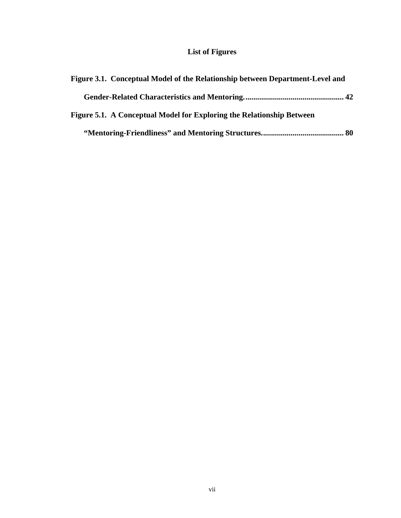## **List of Figures**

| Figure 3.1. Conceptual Model of the Relationship between Department-Level and |  |
|-------------------------------------------------------------------------------|--|
|                                                                               |  |
| Figure 5.1. A Conceptual Model for Exploring the Relationship Between         |  |
|                                                                               |  |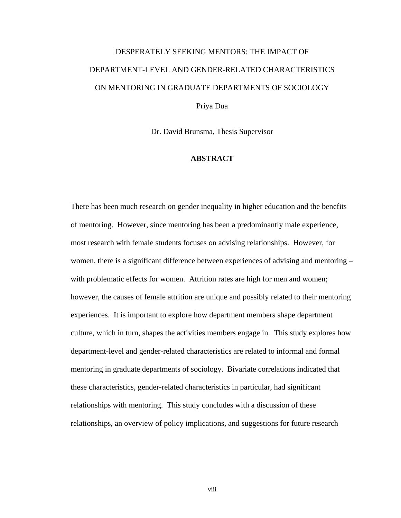# DESPERATELY SEEKING MENTORS: THE IMPACT OF DEPARTMENT-LEVEL AND GENDER-RELATED CHARACTERISTICS ON MENTORING IN GRADUATE DEPARTMENTS OF SOCIOLOGY Priya Dua

Dr. David Brunsma, Thesis Supervisor

#### **ABSTRACT**

There has been much research on gender inequality in higher education and the benefits of mentoring. However, since mentoring has been a predominantly male experience, most research with female students focuses on advising relationships. However, for women, there is a significant difference between experiences of advising and mentoring – with problematic effects for women. Attrition rates are high for men and women; however, the causes of female attrition are unique and possibly related to their mentoring experiences. It is important to explore how department members shape department culture, which in turn, shapes the activities members engage in. This study explores how department-level and gender-related characteristics are related to informal and formal mentoring in graduate departments of sociology. Bivariate correlations indicated that these characteristics, gender-related characteristics in particular, had significant relationships with mentoring. This study concludes with a discussion of these relationships, an overview of policy implications, and suggestions for future research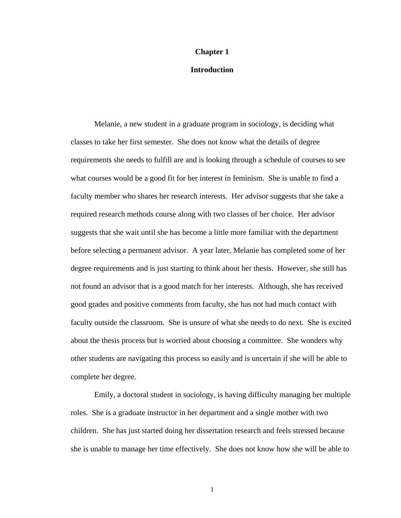#### **Chapter 1**

#### **Introduction**

Melanie, a new student in a graduate program in sociology, is deciding what classes to take her first semester. She does not know what the details of degree requirements she needs to fulfill are and is looking through a schedule of courses to see what courses would be a good fit for her interest in feminism. She is unable to find a faculty member who shares her research interests. Her advisor suggests that she take a required research methods course along with two classes of her choice. Her advisor suggests that she wait until she has become a little more familiar with the department before selecting a permanent advisor. A year later, Melanie has completed some of her degree requirements and is just starting to think about her thesis. However, she still has not found an advisor that is a good match for her interests. Although, she has received good grades and positive comments from faculty, she has not had much contact with faculty outside the classroom. She is unsure of what she needs to do next. She is excited about the thesis process but is worried about choosing a committee. She wonders why other students are navigating this process so easily and is uncertain if she will be able to complete her degree.

Emily, a doctoral student in sociology, is having difficulty managing her multiple roles. She is a graduate instructor in her department and a single mother with two children. She has just started doing her dissertation research and feels stressed because she is unable to manage her time effectively. She does not know how she will be able to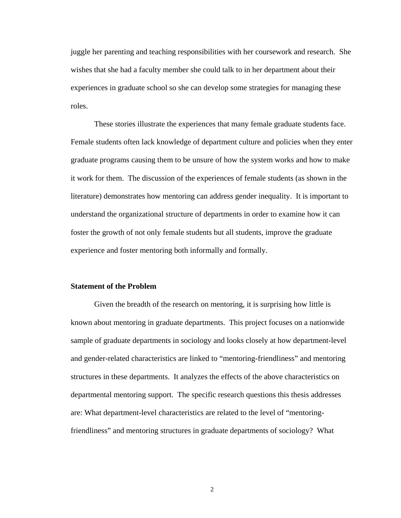juggle her parenting and teaching responsibilities with her coursework and research. She wishes that she had a faculty member she could talk to in her department about their experiences in graduate school so she can develop some strategies for managing these roles.

These stories illustrate the experiences that many female graduate students face. Female students often lack knowledge of department culture and policies when they enter graduate programs causing them to be unsure of how the system works and how to make it work for them. The discussion of the experiences of female students (as shown in the literature) demonstrates how mentoring can address gender inequality. It is important to understand the organizational structure of departments in order to examine how it can foster the growth of not only female students but all students, improve the graduate experience and foster mentoring both informally and formally.

#### **Statement of the Problem**

 Given the breadth of the research on mentoring, it is surprising how little is known about mentoring in graduate departments. This project focuses on a nationwide sample of graduate departments in sociology and looks closely at how department-level and gender-related characteristics are linked to "mentoring-friendliness" and mentoring structures in these departments. It analyzes the effects of the above characteristics on departmental mentoring support. The specific research questions this thesis addresses are: What department-level characteristics are related to the level of "mentoringfriendliness" and mentoring structures in graduate departments of sociology? What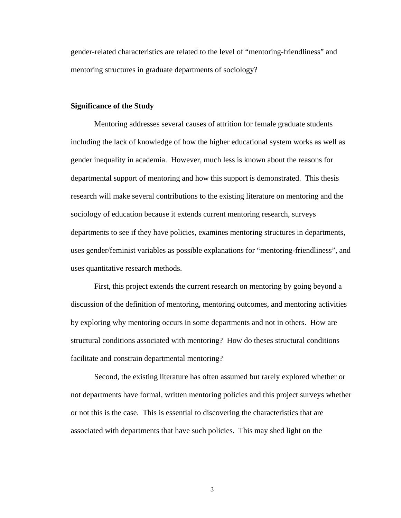gender-related characteristics are related to the level of "mentoring-friendliness" and mentoring structures in graduate departments of sociology?

#### **Significance of the Study**

Mentoring addresses several causes of attrition for female graduate students including the lack of knowledge of how the higher educational system works as well as gender inequality in academia. However, much less is known about the reasons for departmental support of mentoring and how this support is demonstrated. This thesis research will make several contributions to the existing literature on mentoring and the sociology of education because it extends current mentoring research, surveys departments to see if they have policies, examines mentoring structures in departments, uses gender/feminist variables as possible explanations for "mentoring-friendliness", and uses quantitative research methods.

 First, this project extends the current research on mentoring by going beyond a discussion of the definition of mentoring, mentoring outcomes, and mentoring activities by exploring why mentoring occurs in some departments and not in others. How are structural conditions associated with mentoring? How do theses structural conditions facilitate and constrain departmental mentoring?

 Second, the existing literature has often assumed but rarely explored whether or not departments have formal, written mentoring policies and this project surveys whether or not this is the case. This is essential to discovering the characteristics that are associated with departments that have such policies. This may shed light on the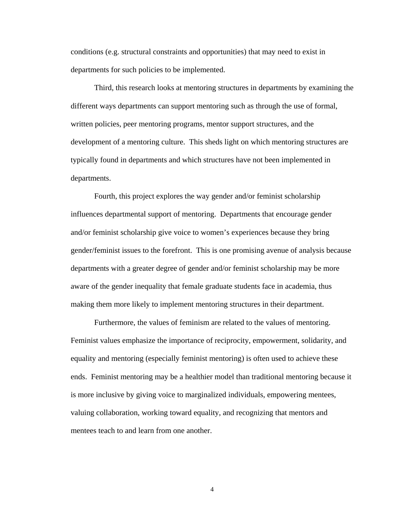conditions (e.g. structural constraints and opportunities) that may need to exist in departments for such policies to be implemented.

Third, this research looks at mentoring structures in departments by examining the different ways departments can support mentoring such as through the use of formal, written policies, peer mentoring programs, mentor support structures, and the development of a mentoring culture. This sheds light on which mentoring structures are typically found in departments and which structures have not been implemented in departments.

 Fourth, this project explores the way gender and/or feminist scholarship influences departmental support of mentoring. Departments that encourage gender and/or feminist scholarship give voice to women's experiences because they bring gender/feminist issues to the forefront. This is one promising avenue of analysis because departments with a greater degree of gender and/or feminist scholarship may be more aware of the gender inequality that female graduate students face in academia, thus making them more likely to implement mentoring structures in their department.

Furthermore, the values of feminism are related to the values of mentoring. Feminist values emphasize the importance of reciprocity, empowerment, solidarity, and equality and mentoring (especially feminist mentoring) is often used to achieve these ends. Feminist mentoring may be a healthier model than traditional mentoring because it is more inclusive by giving voice to marginalized individuals, empowering mentees, valuing collaboration, working toward equality, and recognizing that mentors and mentees teach to and learn from one another.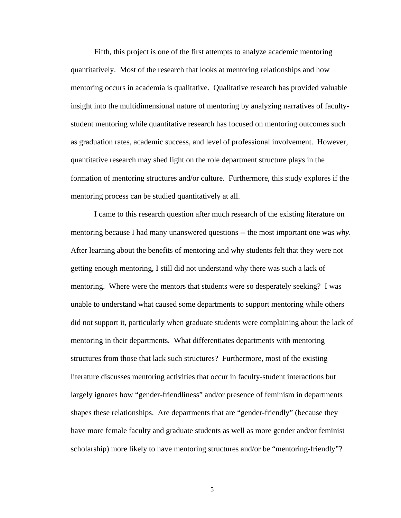Fifth, this project is one of the first attempts to analyze academic mentoring quantitatively. Most of the research that looks at mentoring relationships and how mentoring occurs in academia is qualitative. Qualitative research has provided valuable insight into the multidimensional nature of mentoring by analyzing narratives of facultystudent mentoring while quantitative research has focused on mentoring outcomes such as graduation rates, academic success, and level of professional involvement. However, quantitative research may shed light on the role department structure plays in the formation of mentoring structures and/or culture. Furthermore, this study explores if the mentoring process can be studied quantitatively at all.

I came to this research question after much research of the existing literature on mentoring because I had many unanswered questions -- the most important one was *why*. After learning about the benefits of mentoring and why students felt that they were not getting enough mentoring, I still did not understand why there was such a lack of mentoring. Where were the mentors that students were so desperately seeking? I was unable to understand what caused some departments to support mentoring while others did not support it, particularly when graduate students were complaining about the lack of mentoring in their departments. What differentiates departments with mentoring structures from those that lack such structures? Furthermore, most of the existing literature discusses mentoring activities that occur in faculty-student interactions but largely ignores how "gender-friendliness" and/or presence of feminism in departments shapes these relationships. Are departments that are "gender-friendly" (because they have more female faculty and graduate students as well as more gender and/or feminist scholarship) more likely to have mentoring structures and/or be "mentoring-friendly"?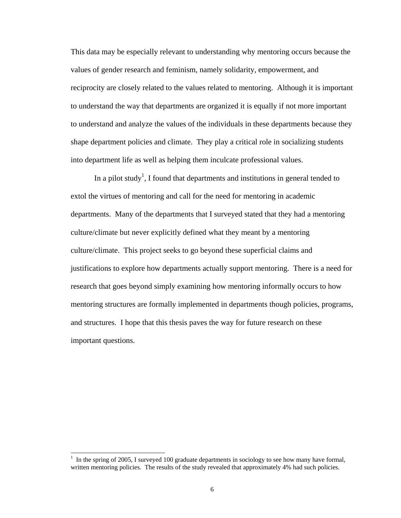This data may be especially relevant to understanding why mentoring occurs because the values of gender research and feminism, namely solidarity, empowerment, and reciprocity are closely related to the values related to mentoring. Although it is important to understand the way that departments are organized it is equally if not more important to understand and analyze the values of the individuals in these departments because they shape department policies and climate. They play a critical role in socializing students into department life as well as helping them inculcate professional values.

In a pilot study<sup>1</sup>, I found that departments and institutions in general tended to extol the virtues of mentoring and call for the need for mentoring in academic departments. Many of the departments that I surveyed stated that they had a mentoring culture/climate but never explicitly defined what they meant by a mentoring culture/climate. This project seeks to go beyond these superficial claims and justifications to explore how departments actually support mentoring. There is a need for research that goes beyond simply examining how mentoring informally occurs to how mentoring structures are formally implemented in departments though policies, programs, and structures. I hope that this thesis paves the way for future research on these important questions.

 $\overline{\phantom{a}}$ 

<sup>1</sup> In the spring of 2005, I surveyed 100 graduate departments in sociology to see how many have formal, written mentoring policies. The results of the study revealed that approximately 4% had such policies.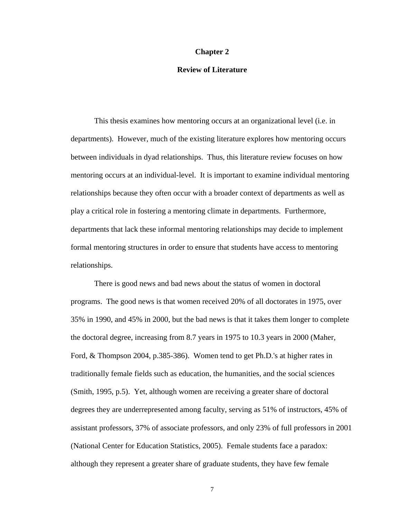#### **Chapter 2**

#### **Review of Literature**

This thesis examines how mentoring occurs at an organizational level (i.e. in departments). However, much of the existing literature explores how mentoring occurs between individuals in dyad relationships. Thus, this literature review focuses on how mentoring occurs at an individual-level. It is important to examine individual mentoring relationships because they often occur with a broader context of departments as well as play a critical role in fostering a mentoring climate in departments. Furthermore, departments that lack these informal mentoring relationships may decide to implement formal mentoring structures in order to ensure that students have access to mentoring relationships.

There is good news and bad news about the status of women in doctoral programs. The good news is that women received 20% of all doctorates in 1975, over 35% in 1990, and 45% in 2000, but the bad news is that it takes them longer to complete the doctoral degree, increasing from 8.7 years in 1975 to 10.3 years in 2000 (Maher, Ford, & Thompson 2004, p.385-386). Women tend to get Ph.D.'s at higher rates in traditionally female fields such as education, the humanities, and the social sciences (Smith, 1995, p.5). Yet, although women are receiving a greater share of doctoral degrees they are underrepresented among faculty, serving as 51% of instructors, 45% of assistant professors, 37% of associate professors, and only 23% of full professors in 2001 (National Center for Education Statistics, 2005). Female students face a paradox: although they represent a greater share of graduate students, they have few female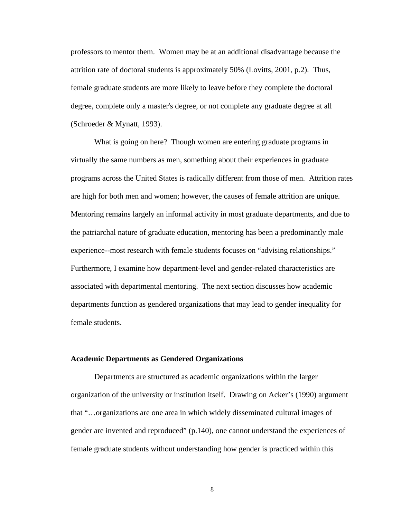professors to mentor them. Women may be at an additional disadvantage because the attrition rate of doctoral students is approximately 50% (Lovitts, 2001, p.2). Thus, female graduate students are more likely to leave before they complete the doctoral degree, complete only a master's degree, or not complete any graduate degree at all (Schroeder & Mynatt, 1993).

What is going on here? Though women are entering graduate programs in virtually the same numbers as men, something about their experiences in graduate programs across the United States is radically different from those of men. Attrition rates are high for both men and women; however, the causes of female attrition are unique. Mentoring remains largely an informal activity in most graduate departments, and due to the patriarchal nature of graduate education, mentoring has been a predominantly male experience--most research with female students focuses on "advising relationships." Furthermore, I examine how department-level and gender-related characteristics are associated with departmental mentoring. The next section discusses how academic departments function as gendered organizations that may lead to gender inequality for female students.

#### **Academic Departments as Gendered Organizations**

Departments are structured as academic organizations within the larger organization of the university or institution itself. Drawing on Acker's (1990) argument that "…organizations are one area in which widely disseminated cultural images of gender are invented and reproduced" (p.140), one cannot understand the experiences of female graduate students without understanding how gender is practiced within this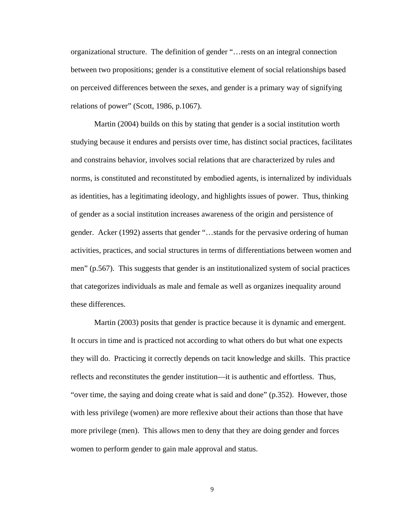organizational structure. The definition of gender "…rests on an integral connection between two propositions; gender is a constitutive element of social relationships based on perceived differences between the sexes, and gender is a primary way of signifying relations of power" (Scott, 1986, p.1067).

Martin (2004) builds on this by stating that gender is a social institution worth studying because it endures and persists over time, has distinct social practices, facilitates and constrains behavior, involves social relations that are characterized by rules and norms, is constituted and reconstituted by embodied agents, is internalized by individuals as identities, has a legitimating ideology, and highlights issues of power. Thus, thinking of gender as a social institution increases awareness of the origin and persistence of gender. Acker (1992) asserts that gender "…stands for the pervasive ordering of human activities, practices, and social structures in terms of differentiations between women and men" (p.567). This suggests that gender is an institutionalized system of social practices that categorizes individuals as male and female as well as organizes inequality around these differences.

Martin (2003) posits that gender is practice because it is dynamic and emergent. It occurs in time and is practiced not according to what others do but what one expects they will do. Practicing it correctly depends on tacit knowledge and skills. This practice reflects and reconstitutes the gender institution—it is authentic and effortless. Thus, "over time, the saying and doing create what is said and done" (p.352). However, those with less privilege (women) are more reflexive about their actions than those that have more privilege (men). This allows men to deny that they are doing gender and forces women to perform gender to gain male approval and status.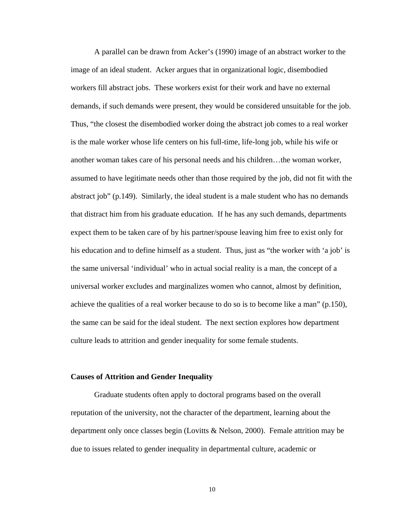A parallel can be drawn from Acker's (1990) image of an abstract worker to the image of an ideal student. Acker argues that in organizational logic, disembodied workers fill abstract jobs. These workers exist for their work and have no external demands, if such demands were present, they would be considered unsuitable for the job. Thus, "the closest the disembodied worker doing the abstract job comes to a real worker is the male worker whose life centers on his full-time, life-long job, while his wife or another woman takes care of his personal needs and his children…the woman worker, assumed to have legitimate needs other than those required by the job, did not fit with the abstract job" (p.149). Similarly, the ideal student is a male student who has no demands that distract him from his graduate education. If he has any such demands, departments expect them to be taken care of by his partner/spouse leaving him free to exist only for his education and to define himself as a student. Thus, just as "the worker with 'a job' is the same universal 'individual' who in actual social reality is a man, the concept of a universal worker excludes and marginalizes women who cannot, almost by definition, achieve the qualities of a real worker because to do so is to become like a man" (p.150), the same can be said for the ideal student. The next section explores how department culture leads to attrition and gender inequality for some female students.

#### **Causes of Attrition and Gender Inequality**

Graduate students often apply to doctoral programs based on the overall reputation of the university, not the character of the department, learning about the department only once classes begin (Lovitts & Nelson, 2000). Female attrition may be due to issues related to gender inequality in departmental culture, academic or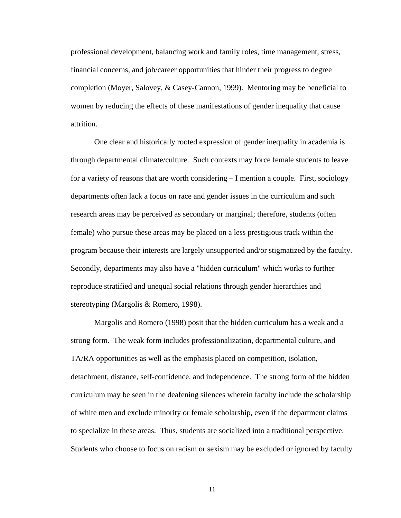professional development, balancing work and family roles, time management, stress, financial concerns, and job/career opportunities that hinder their progress to degree completion (Moyer, Salovey, & Casey-Cannon, 1999). Mentoring may be beneficial to women by reducing the effects of these manifestations of gender inequality that cause attrition.

One clear and historically rooted expression of gender inequality in academia is through departmental climate/culture. Such contexts may force female students to leave for a variety of reasons that are worth considering – I mention a couple. First, sociology departments often lack a focus on race and gender issues in the curriculum and such research areas may be perceived as secondary or marginal; therefore, students (often female) who pursue these areas may be placed on a less prestigious track within the program because their interests are largely unsupported and/or stigmatized by the faculty. Secondly, departments may also have a "hidden curriculum" which works to further reproduce stratified and unequal social relations through gender hierarchies and stereotyping (Margolis & Romero, 1998).

Margolis and Romero (1998) posit that the hidden curriculum has a weak and a strong form. The weak form includes professionalization, departmental culture, and TA/RA opportunities as well as the emphasis placed on competition, isolation, detachment, distance, self-confidence, and independence. The strong form of the hidden curriculum may be seen in the deafening silences wherein faculty include the scholarship of white men and exclude minority or female scholarship, even if the department claims to specialize in these areas. Thus, students are socialized into a traditional perspective. Students who choose to focus on racism or sexism may be excluded or ignored by faculty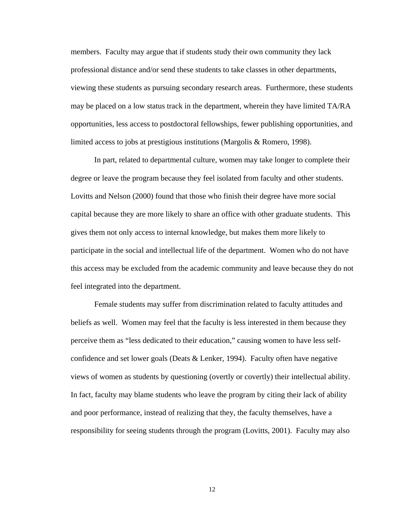members. Faculty may argue that if students study their own community they lack professional distance and/or send these students to take classes in other departments, viewing these students as pursuing secondary research areas. Furthermore, these students may be placed on a low status track in the department, wherein they have limited TA/RA opportunities, less access to postdoctoral fellowships, fewer publishing opportunities, and limited access to jobs at prestigious institutions (Margolis & Romero, 1998).

In part, related to departmental culture, women may take longer to complete their degree or leave the program because they feel isolated from faculty and other students. Lovitts and Nelson (2000) found that those who finish their degree have more social capital because they are more likely to share an office with other graduate students. This gives them not only access to internal knowledge, but makes them more likely to participate in the social and intellectual life of the department. Women who do not have this access may be excluded from the academic community and leave because they do not feel integrated into the department.

Female students may suffer from discrimination related to faculty attitudes and beliefs as well. Women may feel that the faculty is less interested in them because they perceive them as "less dedicated to their education," causing women to have less selfconfidence and set lower goals (Deats & Lenker, 1994). Faculty often have negative views of women as students by questioning (overtly or covertly) their intellectual ability. In fact, faculty may blame students who leave the program by citing their lack of ability and poor performance, instead of realizing that they, the faculty themselves, have a responsibility for seeing students through the program (Lovitts, 2001). Faculty may also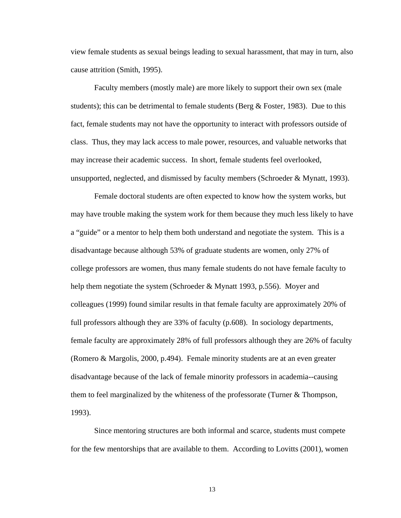view female students as sexual beings leading to sexual harassment, that may in turn, also cause attrition (Smith, 1995).

Faculty members (mostly male) are more likely to support their own sex (male students); this can be detrimental to female students (Berg  $\&$  Foster, 1983). Due to this fact, female students may not have the opportunity to interact with professors outside of class. Thus, they may lack access to male power, resources, and valuable networks that may increase their academic success. In short, female students feel overlooked, unsupported, neglected, and dismissed by faculty members (Schroeder & Mynatt, 1993).

Female doctoral students are often expected to know how the system works, but may have trouble making the system work for them because they much less likely to have a "guide" or a mentor to help them both understand and negotiate the system. This is a disadvantage because although 53% of graduate students are women, only 27% of college professors are women, thus many female students do not have female faculty to help them negotiate the system (Schroeder & Mynatt 1993, p.556). Moyer and colleagues (1999) found similar results in that female faculty are approximately 20% of full professors although they are 33% of faculty (p.608). In sociology departments, female faculty are approximately 28% of full professors although they are 26% of faculty (Romero & Margolis, 2000, p.494). Female minority students are at an even greater disadvantage because of the lack of female minority professors in academia--causing them to feel marginalized by the whiteness of the professorate (Turner  $\&$  Thompson, 1993).

Since mentoring structures are both informal and scarce, students must compete for the few mentorships that are available to them. According to Lovitts (2001), women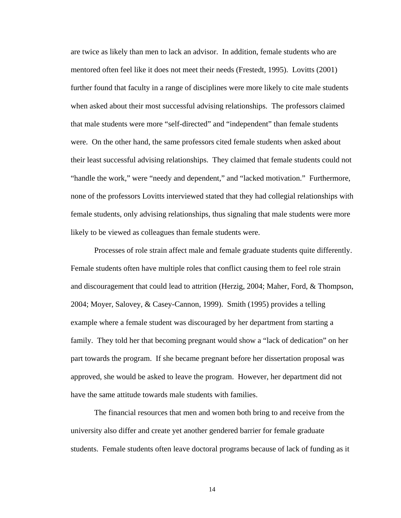are twice as likely than men to lack an advisor. In addition, female students who are mentored often feel like it does not meet their needs (Frestedt, 1995). Lovitts (2001) further found that faculty in a range of disciplines were more likely to cite male students when asked about their most successful advising relationships. The professors claimed that male students were more "self-directed" and "independent" than female students were. On the other hand, the same professors cited female students when asked about their least successful advising relationships. They claimed that female students could not "handle the work," were "needy and dependent," and "lacked motivation." Furthermore, none of the professors Lovitts interviewed stated that they had collegial relationships with female students, only advising relationships, thus signaling that male students were more likely to be viewed as colleagues than female students were.

Processes of role strain affect male and female graduate students quite differently. Female students often have multiple roles that conflict causing them to feel role strain and discouragement that could lead to attrition (Herzig, 2004; Maher, Ford, & Thompson, 2004; Moyer, Salovey, & Casey-Cannon, 1999). Smith (1995) provides a telling example where a female student was discouraged by her department from starting a family. They told her that becoming pregnant would show a "lack of dedication" on her part towards the program. If she became pregnant before her dissertation proposal was approved, she would be asked to leave the program. However, her department did not have the same attitude towards male students with families.

The financial resources that men and women both bring to and receive from the university also differ and create yet another gendered barrier for female graduate students. Female students often leave doctoral programs because of lack of funding as it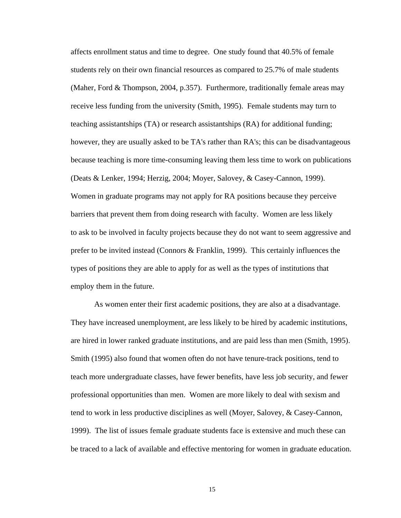affects enrollment status and time to degree. One study found that 40.5% of female students rely on their own financial resources as compared to 25.7% of male students (Maher, Ford & Thompson, 2004, p.357). Furthermore, traditionally female areas may receive less funding from the university (Smith, 1995). Female students may turn to teaching assistantships (TA) or research assistantships (RA) for additional funding; however, they are usually asked to be TA's rather than RA's; this can be disadvantageous because teaching is more time-consuming leaving them less time to work on publications (Deats & Lenker, 1994; Herzig, 2004; Moyer, Salovey, & Casey-Cannon, 1999). Women in graduate programs may not apply for RA positions because they perceive barriers that prevent them from doing research with faculty. Women are less likely to ask to be involved in faculty projects because they do not want to seem aggressive and prefer to be invited instead (Connors & Franklin, 1999). This certainly influences the types of positions they are able to apply for as well as the types of institutions that employ them in the future.

As women enter their first academic positions, they are also at a disadvantage. They have increased unemployment, are less likely to be hired by academic institutions, are hired in lower ranked graduate institutions, and are paid less than men (Smith, 1995). Smith (1995) also found that women often do not have tenure-track positions, tend to teach more undergraduate classes, have fewer benefits, have less job security, and fewer professional opportunities than men. Women are more likely to deal with sexism and tend to work in less productive disciplines as well (Moyer, Salovey, & Casey-Cannon, 1999). The list of issues female graduate students face is extensive and much these can be traced to a lack of available and effective mentoring for women in graduate education.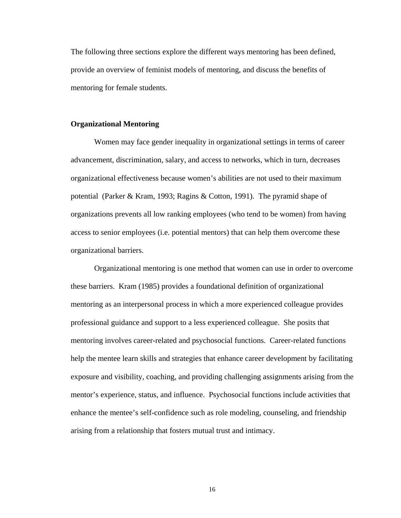The following three sections explore the different ways mentoring has been defined, provide an overview of feminist models of mentoring, and discuss the benefits of mentoring for female students.

#### **Organizational Mentoring**

 Women may face gender inequality in organizational settings in terms of career advancement, discrimination, salary, and access to networks, which in turn, decreases organizational effectiveness because women's abilities are not used to their maximum potential (Parker & Kram, 1993; Ragins & Cotton, 1991). The pyramid shape of organizations prevents all low ranking employees (who tend to be women) from having access to senior employees (i.e. potential mentors) that can help them overcome these organizational barriers.

Organizational mentoring is one method that women can use in order to overcome these barriers. Kram (1985) provides a foundational definition of organizational mentoring as an interpersonal process in which a more experienced colleague provides professional guidance and support to a less experienced colleague. She posits that mentoring involves career-related and psychosocial functions. Career-related functions help the mentee learn skills and strategies that enhance career development by facilitating exposure and visibility, coaching, and providing challenging assignments arising from the mentor's experience, status, and influence. Psychosocial functions include activities that enhance the mentee's self-confidence such as role modeling, counseling, and friendship arising from a relationship that fosters mutual trust and intimacy.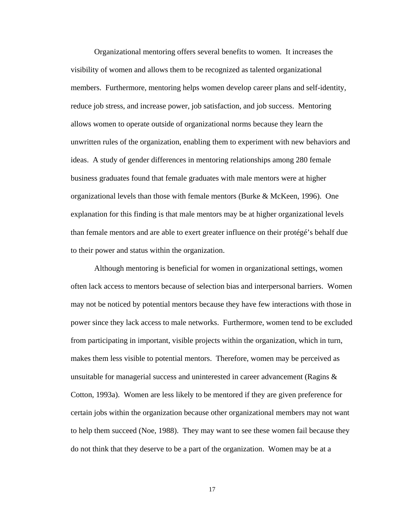Organizational mentoring offers several benefits to women. It increases the visibility of women and allows them to be recognized as talented organizational members. Furthermore, mentoring helps women develop career plans and self-identity, reduce job stress, and increase power, job satisfaction, and job success. Mentoring allows women to operate outside of organizational norms because they learn the unwritten rules of the organization, enabling them to experiment with new behaviors and ideas. A study of gender differences in mentoring relationships among 280 female business graduates found that female graduates with male mentors were at higher organizational levels than those with female mentors (Burke & McKeen, 1996). One explanation for this finding is that male mentors may be at higher organizational levels than female mentors and are able to exert greater influence on their protégé's behalf due to their power and status within the organization.

 Although mentoring is beneficial for women in organizational settings, women often lack access to mentors because of selection bias and interpersonal barriers. Women may not be noticed by potential mentors because they have few interactions with those in power since they lack access to male networks. Furthermore, women tend to be excluded from participating in important, visible projects within the organization, which in turn, makes them less visible to potential mentors. Therefore, women may be perceived as unsuitable for managerial success and uninterested in career advancement (Ragins  $\&$ Cotton, 1993a). Women are less likely to be mentored if they are given preference for certain jobs within the organization because other organizational members may not want to help them succeed (Noe, 1988). They may want to see these women fail because they do not think that they deserve to be a part of the organization. Women may be at a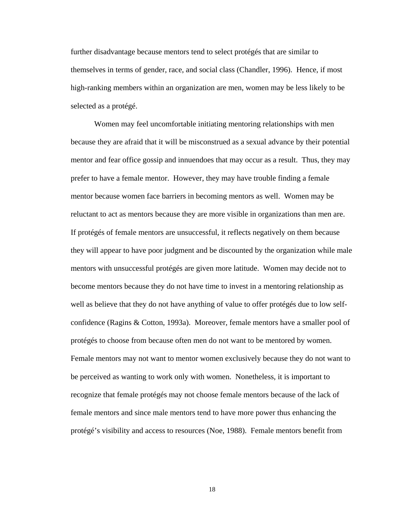further disadvantage because mentors tend to select protégés that are similar to themselves in terms of gender, race, and social class (Chandler, 1996). Hence, if most high-ranking members within an organization are men, women may be less likely to be selected as a protégé.

Women may feel uncomfortable initiating mentoring relationships with men because they are afraid that it will be misconstrued as a sexual advance by their potential mentor and fear office gossip and innuendoes that may occur as a result. Thus, they may prefer to have a female mentor. However, they may have trouble finding a female mentor because women face barriers in becoming mentors as well. Women may be reluctant to act as mentors because they are more visible in organizations than men are. If protégés of female mentors are unsuccessful, it reflects negatively on them because they will appear to have poor judgment and be discounted by the organization while male mentors with unsuccessful protégés are given more latitude. Women may decide not to become mentors because they do not have time to invest in a mentoring relationship as well as believe that they do not have anything of value to offer protégés due to low selfconfidence (Ragins & Cotton, 1993a). Moreover, female mentors have a smaller pool of protégés to choose from because often men do not want to be mentored by women. Female mentors may not want to mentor women exclusively because they do not want to be perceived as wanting to work only with women. Nonetheless, it is important to recognize that female protégés may not choose female mentors because of the lack of female mentors and since male mentors tend to have more power thus enhancing the protégé's visibility and access to resources (Noe, 1988). Female mentors benefit from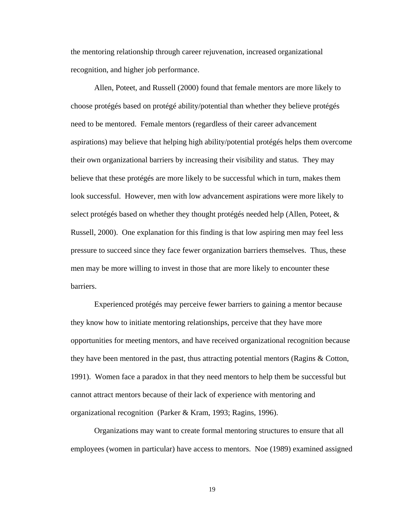the mentoring relationship through career rejuvenation, increased organizational recognition, and higher job performance.

Allen, Poteet, and Russell (2000) found that female mentors are more likely to choose protégés based on protégé ability/potential than whether they believe protégés need to be mentored. Female mentors (regardless of their career advancement aspirations) may believe that helping high ability/potential protégés helps them overcome their own organizational barriers by increasing their visibility and status. They may believe that these protégés are more likely to be successful which in turn, makes them look successful. However, men with low advancement aspirations were more likely to select protégés based on whether they thought protégés needed help (Allen, Poteet, & Russell, 2000). One explanation for this finding is that low aspiring men may feel less pressure to succeed since they face fewer organization barriers themselves. Thus, these men may be more willing to invest in those that are more likely to encounter these barriers.

Experienced protégés may perceive fewer barriers to gaining a mentor because they know how to initiate mentoring relationships, perceive that they have more opportunities for meeting mentors, and have received organizational recognition because they have been mentored in the past, thus attracting potential mentors (Ragins & Cotton, 1991). Women face a paradox in that they need mentors to help them be successful but cannot attract mentors because of their lack of experience with mentoring and organizational recognition (Parker & Kram, 1993; Ragins, 1996).

Organizations may want to create formal mentoring structures to ensure that all employees (women in particular) have access to mentors. Noe (1989) examined assigned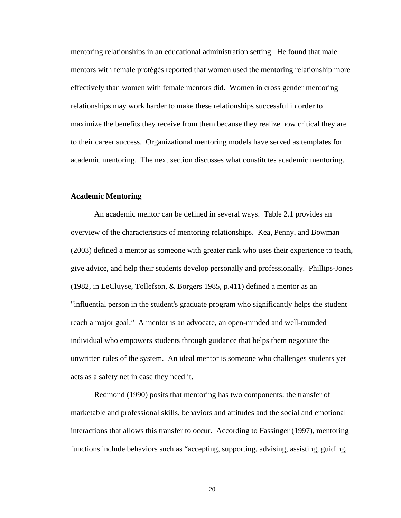mentoring relationships in an educational administration setting. He found that male mentors with female protégés reported that women used the mentoring relationship more effectively than women with female mentors did. Women in cross gender mentoring relationships may work harder to make these relationships successful in order to maximize the benefits they receive from them because they realize how critical they are to their career success. Organizational mentoring models have served as templates for academic mentoring. The next section discusses what constitutes academic mentoring.

#### **Academic Mentoring**

An academic mentor can be defined in several ways. Table 2.1 provides an overview of the characteristics of mentoring relationships. Kea, Penny, and Bowman (2003) defined a mentor as someone with greater rank who uses their experience to teach, give advice, and help their students develop personally and professionally. Phillips-Jones (1982, in LeCluyse, Tollefson, & Borgers 1985, p.411) defined a mentor as an "influential person in the student's graduate program who significantly helps the student reach a major goal." A mentor is an advocate, an open-minded and well-rounded individual who empowers students through guidance that helps them negotiate the unwritten rules of the system. An ideal mentor is someone who challenges students yet acts as a safety net in case they need it.

Redmond (1990) posits that mentoring has two components: the transfer of marketable and professional skills, behaviors and attitudes and the social and emotional interactions that allows this transfer to occur. According to Fassinger (1997), mentoring functions include behaviors such as "accepting, supporting, advising, assisting, guiding,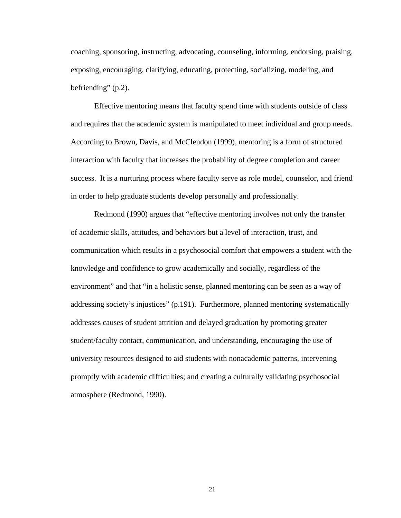coaching, sponsoring, instructing, advocating, counseling, informing, endorsing, praising, exposing, encouraging, clarifying, educating, protecting, socializing, modeling, and befriending" (p.2).

Effective mentoring means that faculty spend time with students outside of class and requires that the academic system is manipulated to meet individual and group needs. According to Brown, Davis, and McClendon (1999), mentoring is a form of structured interaction with faculty that increases the probability of degree completion and career success. It is a nurturing process where faculty serve as role model, counselor, and friend in order to help graduate students develop personally and professionally.

Redmond (1990) argues that "effective mentoring involves not only the transfer of academic skills, attitudes, and behaviors but a level of interaction, trust, and communication which results in a psychosocial comfort that empowers a student with the knowledge and confidence to grow academically and socially, regardless of the environment" and that "in a holistic sense, planned mentoring can be seen as a way of addressing society's injustices" (p.191). Furthermore, planned mentoring systematically addresses causes of student attrition and delayed graduation by promoting greater student/faculty contact, communication, and understanding, encouraging the use of university resources designed to aid students with nonacademic patterns, intervening promptly with academic difficulties; and creating a culturally validating psychosocial atmosphere (Redmond, 1990).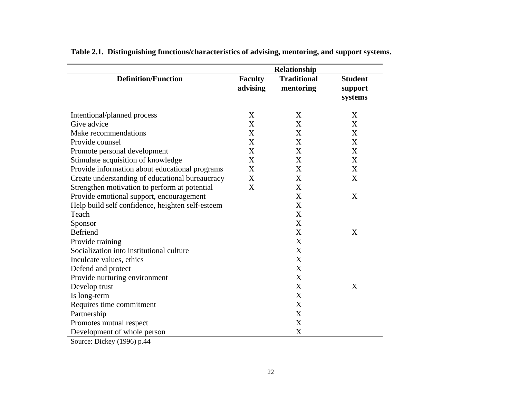|                                                  |                            | Relationship                    |                                      |
|--------------------------------------------------|----------------------------|---------------------------------|--------------------------------------|
| <b>Definition/Function</b>                       | <b>Faculty</b><br>advising | <b>Traditional</b><br>mentoring | <b>Student</b><br>support<br>systems |
| Intentional/planned process                      | X                          | X                               | X                                    |
| Give advice                                      | X                          | X                               | X                                    |
| Make recommendations                             | X                          | X                               | X                                    |
| Provide counsel                                  | X                          | X                               | X                                    |
| Promote personal development                     | X                          | X                               | X                                    |
| Stimulate acquisition of knowledge               | X                          | X                               | X                                    |
| Provide information about educational programs   | X                          | X                               | X                                    |
| Create understanding of educational bureaucracy  | $\mathbf X$                | X                               | X                                    |
| Strengthen motivation to perform at potential    | X                          | X                               |                                      |
| Provide emotional support, encouragement         |                            | X                               | X                                    |
| Help build self confidence, heighten self-esteem |                            | X                               |                                      |
| Teach                                            |                            | X                               |                                      |
| Sponsor                                          |                            | X                               |                                      |
| <b>Befriend</b>                                  |                            | X                               | X                                    |
| Provide training                                 |                            | X                               |                                      |
| Socialization into institutional culture         |                            | X                               |                                      |
| Inculcate values, ethics                         |                            | X                               |                                      |
| Defend and protect                               |                            | X                               |                                      |
| Provide nurturing environment                    |                            | X                               |                                      |
| Develop trust                                    |                            | X                               | X                                    |
| Is long-term                                     |                            | $\boldsymbol{\mathrm{X}}$       |                                      |
| Requires time commitment                         |                            | X                               |                                      |
| Partnership                                      |                            | X                               |                                      |
| Promotes mutual respect                          |                            | X                               |                                      |
| Development of whole person                      |                            | X                               |                                      |
| Source: Dickey (1996) p.44                       |                            |                                 |                                      |

**Table 2.1. Distinguishing functions/characteristics of advising, mentoring, and support systems.**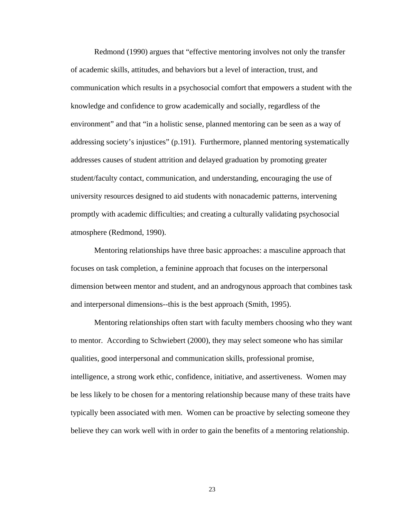Redmond (1990) argues that "effective mentoring involves not only the transfer of academic skills, attitudes, and behaviors but a level of interaction, trust, and communication which results in a psychosocial comfort that empowers a student with the knowledge and confidence to grow academically and socially, regardless of the environment" and that "in a holistic sense, planned mentoring can be seen as a way of addressing society's injustices" (p.191). Furthermore, planned mentoring systematically addresses causes of student attrition and delayed graduation by promoting greater student/faculty contact, communication, and understanding, encouraging the use of university resources designed to aid students with nonacademic patterns, intervening promptly with academic difficulties; and creating a culturally validating psychosocial atmosphere (Redmond, 1990).

Mentoring relationships have three basic approaches: a masculine approach that focuses on task completion, a feminine approach that focuses on the interpersonal dimension between mentor and student, and an androgynous approach that combines task and interpersonal dimensions--this is the best approach (Smith, 1995).

Mentoring relationships often start with faculty members choosing who they want to mentor. According to Schwiebert (2000), they may select someone who has similar qualities, good interpersonal and communication skills, professional promise, intelligence, a strong work ethic, confidence, initiative, and assertiveness. Women may be less likely to be chosen for a mentoring relationship because many of these traits have typically been associated with men. Women can be proactive by selecting someone they believe they can work well with in order to gain the benefits of a mentoring relationship.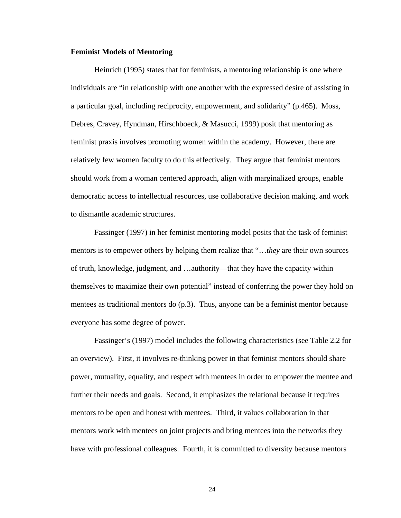#### **Feminist Models of Mentoring**

Heinrich (1995) states that for feminists, a mentoring relationship is one where individuals are "in relationship with one another with the expressed desire of assisting in a particular goal, including reciprocity, empowerment, and solidarity" (p.465). Moss, Debres, Cravey, Hyndman, Hirschboeck, & Masucci, 1999) posit that mentoring as feminist praxis involves promoting women within the academy. However, there are relatively few women faculty to do this effectively. They argue that feminist mentors should work from a woman centered approach, align with marginalized groups, enable democratic access to intellectual resources, use collaborative decision making, and work to dismantle academic structures.

Fassinger (1997) in her feminist mentoring model posits that the task of feminist mentors is to empower others by helping them realize that "…*they* are their own sources of truth, knowledge, judgment, and …authority—that they have the capacity within themselves to maximize their own potential" instead of conferring the power they hold on mentees as traditional mentors do (p.3). Thus, anyone can be a feminist mentor because everyone has some degree of power.

Fassinger's (1997) model includes the following characteristics (see Table 2.2 for an overview). First, it involves re-thinking power in that feminist mentors should share power, mutuality, equality, and respect with mentees in order to empower the mentee and further their needs and goals. Second, it emphasizes the relational because it requires mentors to be open and honest with mentees. Third, it values collaboration in that mentors work with mentees on joint projects and bring mentees into the networks they have with professional colleagues. Fourth, it is committed to diversity because mentors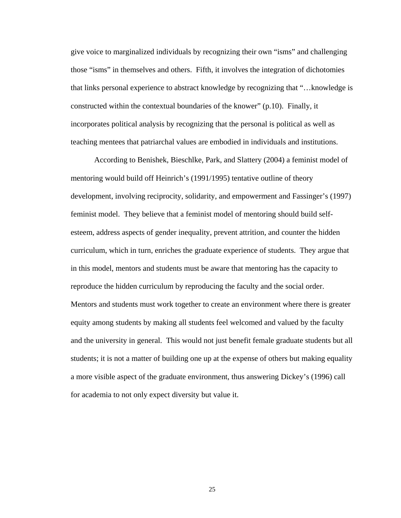give voice to marginalized individuals by recognizing their own "isms" and challenging those "isms" in themselves and others. Fifth, it involves the integration of dichotomies that links personal experience to abstract knowledge by recognizing that "…knowledge is constructed within the contextual boundaries of the knower" (p.10). Finally, it incorporates political analysis by recognizing that the personal is political as well as teaching mentees that patriarchal values are embodied in individuals and institutions.

According to Benishek, Bieschlke, Park, and Slattery (2004) a feminist model of mentoring would build off Heinrich's (1991/1995) tentative outline of theory development, involving reciprocity, solidarity, and empowerment and Fassinger's (1997) feminist model. They believe that a feminist model of mentoring should build selfesteem, address aspects of gender inequality, prevent attrition, and counter the hidden curriculum, which in turn, enriches the graduate experience of students. They argue that in this model, mentors and students must be aware that mentoring has the capacity to reproduce the hidden curriculum by reproducing the faculty and the social order. Mentors and students must work together to create an environment where there is greater equity among students by making all students feel welcomed and valued by the faculty and the university in general. This would not just benefit female graduate students but all students; it is not a matter of building one up at the expense of others but making equality a more visible aspect of the graduate environment, thus answering Dickey's (1996) call for academia to not only expect diversity but value it.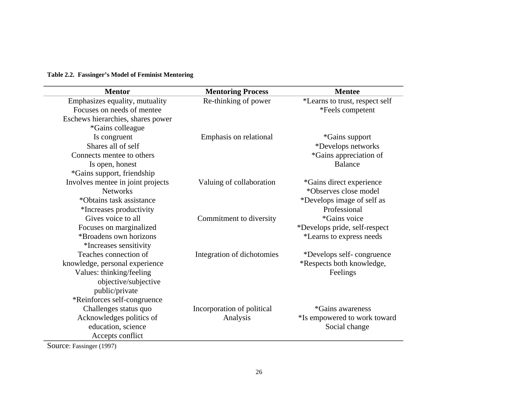#### **Table 2.2. Fassinger's Model of Feminist Mentoring**

| <b>Mentor</b>                     | <b>Mentoring Process</b>   | <b>Mentee</b>                  |
|-----------------------------------|----------------------------|--------------------------------|
| Emphasizes equality, mutuality    | Re-thinking of power       | *Learns to trust, respect self |
| Focuses on needs of mentee        |                            | *Feels competent               |
| Eschews hierarchies, shares power |                            |                                |
| *Gains colleague                  |                            |                                |
| Is congruent                      | Emphasis on relational     | <i>*</i> Gains support         |
| Shares all of self                |                            | *Develops networks             |
| Connects mentee to others         |                            | *Gains appreciation of         |
| Is open, honest                   |                            | <b>Balance</b>                 |
| *Gains support, friendship        |                            |                                |
| Involves mentee in joint projects | Valuing of collaboration   | *Gains direct experience       |
| <b>Networks</b>                   |                            | *Observes close model          |
| *Obtains task assistance          |                            | *Develops image of self as     |
| *Increases productivity           |                            | Professional                   |
| Gives voice to all                | Commitment to diversity    | *Gains voice                   |
| Focuses on marginalized           |                            | *Develops pride, self-respect  |
| <i>*Broadens own horizons</i>     |                            | *Learns to express needs       |
| *Increases sensitivity            |                            |                                |
| Teaches connection of             | Integration of dichotomies | *Develops self-congruence      |
| knowledge, personal experience    |                            | *Respects both knowledge,      |
| Values: thinking/feeling          |                            | Feelings                       |
| objective/subjective              |                            |                                |
| public/private                    |                            |                                |
| *Reinforces self-congruence       |                            |                                |
| Challenges status quo             | Incorporation of political | *Gains awareness               |
| Acknowledges politics of          | Analysis                   | *Is empowered to work toward   |
| education, science                |                            | Social change                  |
| Accepts conflict                  |                            |                                |

Source: Fassinger (1997)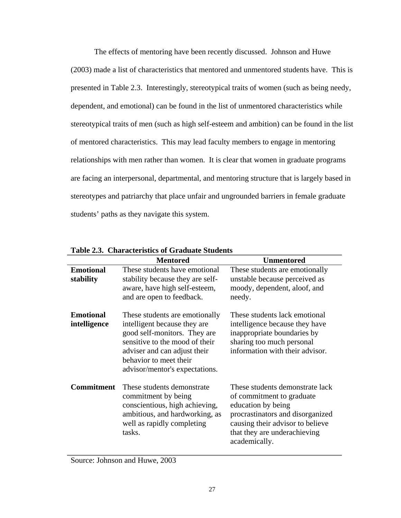The effects of mentoring have been recently discussed. Johnson and Huwe (2003) made a list of characteristics that mentored and unmentored students have. This is presented in Table 2.3. Interestingly, stereotypical traits of women (such as being needy, dependent, and emotional) can be found in the list of unmentored characteristics while stereotypical traits of men (such as high self-esteem and ambition) can be found in the list of mentored characteristics. This may lead faculty members to engage in mentoring relationships with men rather than women. It is clear that women in graduate programs are facing an interpersonal, departmental, and mentoring structure that is largely based in stereotypes and patriarchy that place unfair and ungrounded barriers in female graduate students' paths as they navigate this system.

|                                  | <b>Mentored</b>                                                                                                                                                                                                              | <b>Unmentored</b>                                                                                                                                                                                           |
|----------------------------------|------------------------------------------------------------------------------------------------------------------------------------------------------------------------------------------------------------------------------|-------------------------------------------------------------------------------------------------------------------------------------------------------------------------------------------------------------|
| <b>Emotional</b><br>stability    | These students have emotional<br>stability because they are self-<br>aware, have high self-esteem,<br>and are open to feedback.                                                                                              | These students are emotionally<br>unstable because perceived as<br>moody, dependent, aloof, and<br>needy.                                                                                                   |
| <b>Emotional</b><br>intelligence | These students are emotionally<br>intelligent because they are<br>good self-monitors. They are<br>sensitive to the mood of their<br>adviser and can adjust their<br>behavior to meet their<br>advisor/mentor's expectations. | These students lack emotional<br>intelligence because they have<br>inappropriate boundaries by<br>sharing too much personal<br>information with their advisor.                                              |
| <b>Commitment</b>                | These students demonstrate<br>commitment by being<br>conscientious, high achieving,<br>ambitious, and hardworking, as<br>well as rapidly completing<br>tasks.                                                                | These students demonstrate lack<br>of commitment to graduate<br>education by being<br>procrastinators and disorganized<br>causing their advisor to believe<br>that they are underachieving<br>academically. |

**Table 2.3. Characteristics of Graduate Students** 

Source: Johnson and Huwe, 2003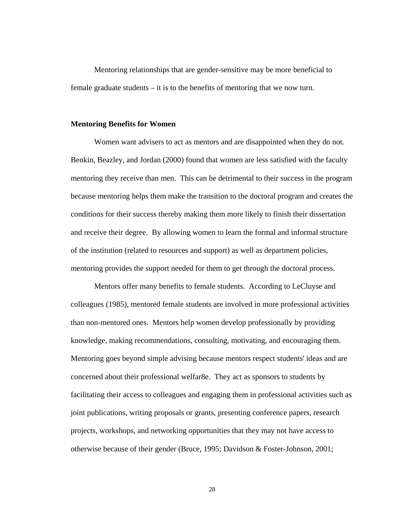Mentoring relationships that are gender-sensitive may be more beneficial to female graduate students – it is to the benefits of mentoring that we now turn.

#### **Mentoring Benefits for Women**

Women want advisers to act as mentors and are disappointed when they do not. Benkin, Beazley, and Jordan (2000) found that women are less satisfied with the faculty mentoring they receive than men. This can be detrimental to their success in the program because mentoring helps them make the transition to the doctoral program and creates the conditions for their success thereby making them more likely to finish their dissertation and receive their degree. By allowing women to learn the formal and informal structure of the institution (related to resources and support) as well as department policies, mentoring provides the support needed for them to get through the doctoral process.

Mentors offer many benefits to female students. According to LeCluyse and colleagues (1985), mentored female students are involved in more professional activities than non-mentored ones. Mentors help women develop professionally by providing knowledge, making recommendations, consulting, motivating, and encouraging them. Mentoring goes beyond simple advising because mentors respect students' ideas and are concerned about their professional welfar8e. They act as sponsors to students by facilitating their access to colleagues and engaging them in professional activities such as joint publications, writing proposals or grants, presenting conference papers, research projects, workshops, and networking opportunities that they may not have access to otherwise because of their gender (Bruce, 1995; Davidson & Foster-Johnson, 2001;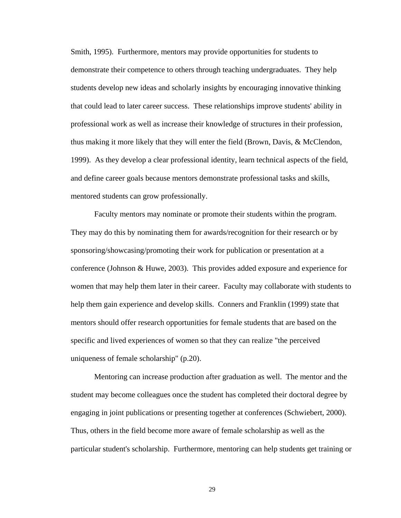Smith, 1995). Furthermore, mentors may provide opportunities for students to demonstrate their competence to others through teaching undergraduates. They help students develop new ideas and scholarly insights by encouraging innovative thinking that could lead to later career success. These relationships improve students' ability in professional work as well as increase their knowledge of structures in their profession, thus making it more likely that they will enter the field (Brown, Davis, & McClendon, 1999). As they develop a clear professional identity, learn technical aspects of the field, and define career goals because mentors demonstrate professional tasks and skills, mentored students can grow professionally.

Faculty mentors may nominate or promote their students within the program. They may do this by nominating them for awards/recognition for their research or by sponsoring/showcasing/promoting their work for publication or presentation at a conference (Johnson & Huwe, 2003). This provides added exposure and experience for women that may help them later in their career. Faculty may collaborate with students to help them gain experience and develop skills. Conners and Franklin (1999) state that mentors should offer research opportunities for female students that are based on the specific and lived experiences of women so that they can realize "the perceived uniqueness of female scholarship" (p.20).

Mentoring can increase production after graduation as well. The mentor and the student may become colleagues once the student has completed their doctoral degree by engaging in joint publications or presenting together at conferences (Schwiebert, 2000). Thus, others in the field become more aware of female scholarship as well as the particular student's scholarship. Furthermore, mentoring can help students get training or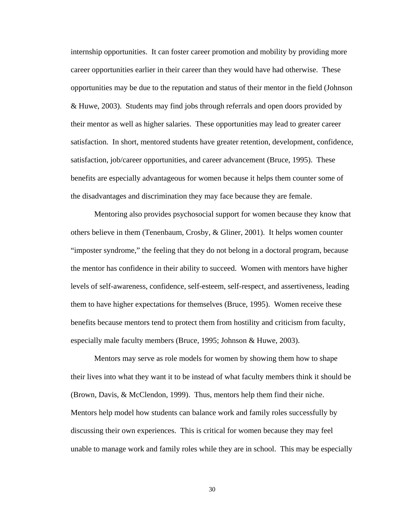internship opportunities. It can foster career promotion and mobility by providing more career opportunities earlier in their career than they would have had otherwise. These opportunities may be due to the reputation and status of their mentor in the field (Johnson & Huwe, 2003). Students may find jobs through referrals and open doors provided by their mentor as well as higher salaries. These opportunities may lead to greater career satisfaction. In short, mentored students have greater retention, development, confidence, satisfaction, job/career opportunities, and career advancement (Bruce, 1995). These benefits are especially advantageous for women because it helps them counter some of the disadvantages and discrimination they may face because they are female.

Mentoring also provides psychosocial support for women because they know that others believe in them (Tenenbaum, Crosby, & Gliner, 2001). It helps women counter "imposter syndrome," the feeling that they do not belong in a doctoral program, because the mentor has confidence in their ability to succeed. Women with mentors have higher levels of self-awareness, confidence, self-esteem, self-respect, and assertiveness, leading them to have higher expectations for themselves (Bruce, 1995). Women receive these benefits because mentors tend to protect them from hostility and criticism from faculty, especially male faculty members (Bruce, 1995; Johnson & Huwe, 2003).

Mentors may serve as role models for women by showing them how to shape their lives into what they want it to be instead of what faculty members think it should be (Brown, Davis, & McClendon, 1999). Thus, mentors help them find their niche. Mentors help model how students can balance work and family roles successfully by discussing their own experiences. This is critical for women because they may feel unable to manage work and family roles while they are in school. This may be especially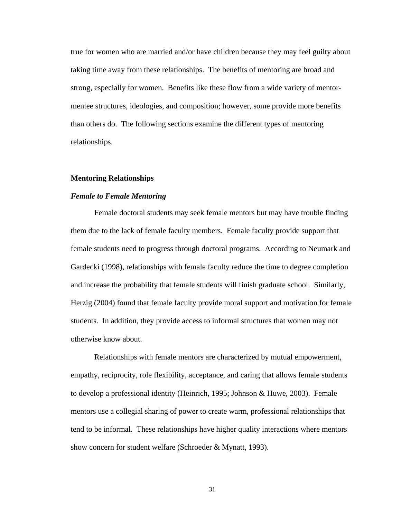true for women who are married and/or have children because they may feel guilty about taking time away from these relationships. The benefits of mentoring are broad and strong, especially for women. Benefits like these flow from a wide variety of mentormentee structures, ideologies, and composition; however, some provide more benefits than others do. The following sections examine the different types of mentoring relationships.

#### **Mentoring Relationships**

### *Female to Female Mentoring*

Female doctoral students may seek female mentors but may have trouble finding them due to the lack of female faculty members. Female faculty provide support that female students need to progress through doctoral programs. According to Neumark and Gardecki (1998), relationships with female faculty reduce the time to degree completion and increase the probability that female students will finish graduate school. Similarly, Herzig (2004) found that female faculty provide moral support and motivation for female students. In addition, they provide access to informal structures that women may not otherwise know about.

Relationships with female mentors are characterized by mutual empowerment, empathy, reciprocity, role flexibility, acceptance, and caring that allows female students to develop a professional identity (Heinrich, 1995; Johnson & Huwe, 2003). Female mentors use a collegial sharing of power to create warm, professional relationships that tend to be informal. These relationships have higher quality interactions where mentors show concern for student welfare (Schroeder & Mynatt, 1993).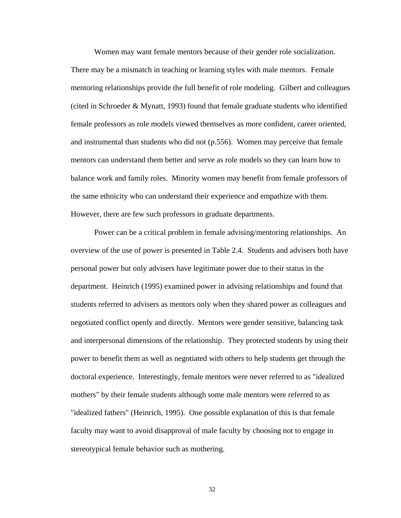Women may want female mentors because of their gender role socialization. There may be a mismatch in teaching or learning styles with male mentors. Female mentoring relationships provide the full benefit of role modeling. Gilbert and colleagues (cited in Schroeder & Mynatt, 1993) found that female graduate students who identified female professors as role models viewed themselves as more confident, career oriented, and instrumental than students who did not (p.556). Women may perceive that female mentors can understand them better and serve as role models so they can learn how to balance work and family roles. Minority women may benefit from female professors of the same ethnicity who can understand their experience and empathize with them. However, there are few such professors in graduate departments.

 Power can be a critical problem in female advising/mentoring relationships. An overview of the use of power is presented in Table 2.4. Students and advisers both have personal power but only advisers have legitimate power due to their status in the department. Heinrich (1995) examined power in advising relationships and found that students referred to advisers as mentors only when they shared power as colleagues and negotiated conflict openly and directly. Mentors were gender sensitive, balancing task and interpersonal dimensions of the relationship. They protected students by using their power to benefit them as well as negotiated with others to help students get through the doctoral experience. Interestingly, female mentors were never referred to as "idealized mothers" by their female students although some male mentors were referred to as "idealized fathers" (Heinrich, 1995). One possible explanation of this is that female faculty may want to avoid disapproval of male faculty by choosing not to engage in stereotypical female behavior such as mothering.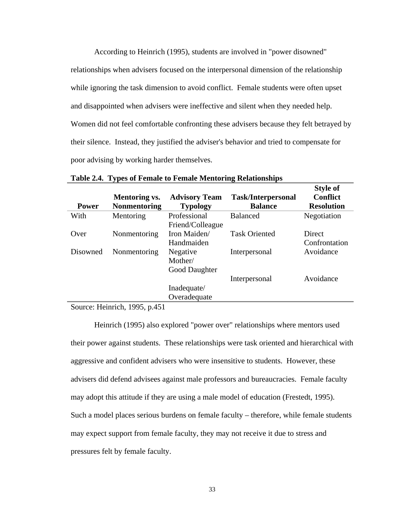According to Heinrich (1995), students are involved in "power disowned" relationships when advisers focused on the interpersonal dimension of the relationship while ignoring the task dimension to avoid conflict. Female students were often upset and disappointed when advisers were ineffective and silent when they needed help. Women did not feel comfortable confronting these advisers because they felt betrayed by their silence. Instead, they justified the adviser's behavior and tried to compensate for poor advising by working harder themselves.

| <b>Power</b> | <b>Mentoring vs.</b><br><b>Nonmentoring</b> | <b>Advisory Team</b><br><b>Typology</b> | <b>Task/Interpersonal</b><br><b>Balance</b> | <b>Style of</b><br><b>Conflict</b><br><b>Resolution</b> |
|--------------|---------------------------------------------|-----------------------------------------|---------------------------------------------|---------------------------------------------------------|
| With         | Mentoring                                   | Professional<br>Friend/Colleague        | <b>Balanced</b>                             | Negotiation                                             |
| Over         | Nonmentoring                                | Iron Maiden/<br>Handmaiden              | <b>Task Oriented</b>                        | Direct<br>Confrontation                                 |
| Disowned     | Nonmentoring                                | Negative<br>Mother/<br>Good Daughter    | Interpersonal                               | Avoidance                                               |
|              |                                             |                                         | Interpersonal                               | Avoidance                                               |
|              |                                             | Inadequate/                             |                                             |                                                         |
|              |                                             | Overadequate                            |                                             |                                                         |

**Table 2.4. Types of Female to Female Mentoring Relationships** 

Source: Heinrich, 1995, p.451

Heinrich (1995) also explored "power over" relationships where mentors used their power against students. These relationships were task oriented and hierarchical with aggressive and confident advisers who were insensitive to students. However, these advisers did defend advisees against male professors and bureaucracies. Female faculty may adopt this attitude if they are using a male model of education (Frestedt, 1995). Such a model places serious burdens on female faculty – therefore, while female students may expect support from female faculty, they may not receive it due to stress and pressures felt by female faculty.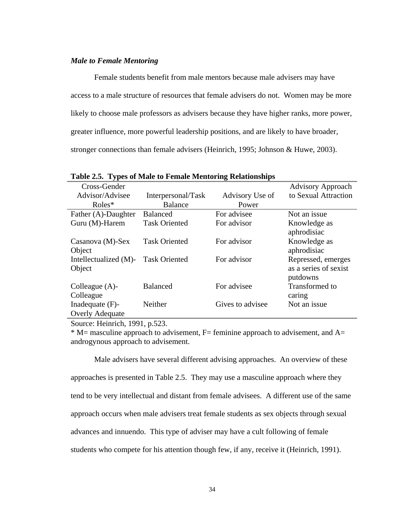## *Male to Female Mentoring*

Female students benefit from male mentors because male advisers may have access to a male structure of resources that female advisers do not. Women may be more likely to choose male professors as advisers because they have higher ranks, more power, greater influence, more powerful leadership positions, and are likely to have broader, stronger connections than female advisers (Heinrich, 1995; Johnson & Huwe, 2003).

| Cross-Gender           |                      |                  | <b>Advisory Approach</b> |
|------------------------|----------------------|------------------|--------------------------|
| Advisor/Advisee        | Interpersonal/Task   | Advisory Use of  | to Sexual Attraction     |
| $Roles*$               | <b>Balance</b>       | Power            |                          |
| Father (A)-Daughter    | <b>Balanced</b>      | For advisee      | Not an issue             |
| Guru (M)-Harem         | <b>Task Oriented</b> | For advisor      | Knowledge as             |
|                        |                      |                  | aphrodisiac              |
| Casanova $(M)$ -Sex    | <b>Task Oriented</b> | For advisor      | Knowledge as             |
| Object                 |                      |                  | aphrodisiac              |
| Intellectualized (M)-  | <b>Task Oriented</b> | For advisor      | Repressed, emerges       |
| Object                 |                      |                  | as a series of sexist    |
|                        |                      |                  | putdowns                 |
| Colleague $(A)$ -      | <b>Balanced</b>      | For advisee      | Transformed to           |
| Colleague              |                      |                  | caring                   |
| Inadequate $(F)$ -     | Neither              | Gives to advisee | Not an issue             |
| <b>Overly Adequate</b> |                      |                  |                          |

**Table 2.5. Types of Male to Female Mentoring Relationships** 

Source: Heinrich, 1991, p.523.

 $*$  M= masculine approach to advisement, F= feminine approach to advisement, and A= androgynous approach to advisement.

Male advisers have several different advising approaches. An overview of these approaches is presented in Table 2.5. They may use a masculine approach where they tend to be very intellectual and distant from female advisees. A different use of the same approach occurs when male advisers treat female students as sex objects through sexual advances and innuendo. This type of adviser may have a cult following of female students who compete for his attention though few, if any, receive it (Heinrich, 1991).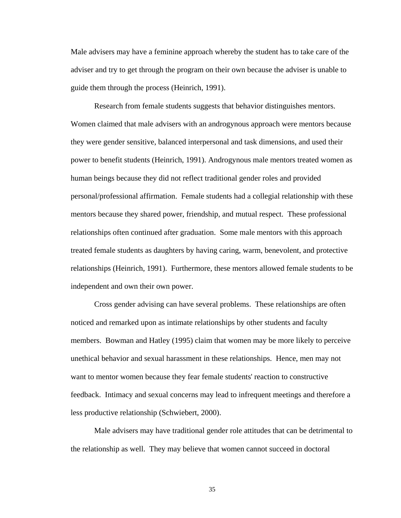Male advisers may have a feminine approach whereby the student has to take care of the adviser and try to get through the program on their own because the adviser is unable to guide them through the process (Heinrich, 1991).

Research from female students suggests that behavior distinguishes mentors. Women claimed that male advisers with an androgynous approach were mentors because they were gender sensitive, balanced interpersonal and task dimensions, and used their power to benefit students (Heinrich, 1991). Androgynous male mentors treated women as human beings because they did not reflect traditional gender roles and provided personal/professional affirmation. Female students had a collegial relationship with these mentors because they shared power, friendship, and mutual respect. These professional relationships often continued after graduation. Some male mentors with this approach treated female students as daughters by having caring, warm, benevolent, and protective relationships (Heinrich, 1991). Furthermore, these mentors allowed female students to be independent and own their own power.

Cross gender advising can have several problems. These relationships are often noticed and remarked upon as intimate relationships by other students and faculty members. Bowman and Hatley (1995) claim that women may be more likely to perceive unethical behavior and sexual harassment in these relationships. Hence, men may not want to mentor women because they fear female students' reaction to constructive feedback. Intimacy and sexual concerns may lead to infrequent meetings and therefore a less productive relationship (Schwiebert, 2000).

Male advisers may have traditional gender role attitudes that can be detrimental to the relationship as well. They may believe that women cannot succeed in doctoral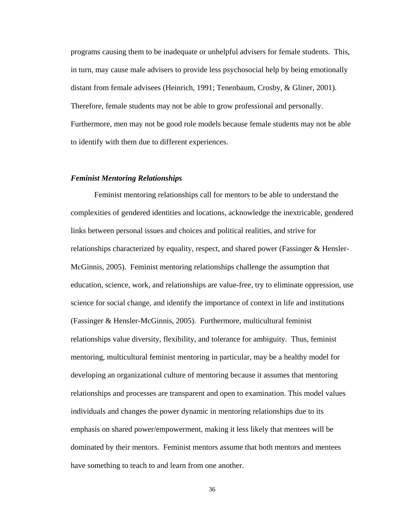programs causing them to be inadequate or unhelpful advisers for female students. This, in turn, may cause male advisers to provide less psychosocial help by being emotionally distant from female advisees (Heinrich, 1991; Tenenbaum, Crosby, & Gliner, 2001). Therefore, female students may not be able to grow professional and personally. Furthermore, men may not be good role models because female students may not be able to identify with them due to different experiences.

## *Feminist Mentoring Relationships*

Feminist mentoring relationships call for mentors to be able to understand the complexities of gendered identities and locations, acknowledge the inextricable, gendered links between personal issues and choices and political realities, and strive for relationships characterized by equality, respect, and shared power (Fassinger & Hensler-McGinnis, 2005). Feminist mentoring relationships challenge the assumption that education, science, work, and relationships are value-free, try to eliminate oppression, use science for social change, and identify the importance of context in life and institutions (Fassinger & Hensler-McGinnis, 2005). Furthermore, multicultural feminist relationships value diversity, flexibility, and tolerance for ambiguity. Thus, feminist mentoring, multicultural feminist mentoring in particular, may be a healthy model for developing an organizational culture of mentoring because it assumes that mentoring relationships and processes are transparent and open to examination. This model values individuals and changes the power dynamic in mentoring relationships due to its emphasis on shared power/empowerment, making it less likely that mentees will be dominated by their mentors. Feminist mentors assume that both mentors and mentees have something to teach to and learn from one another.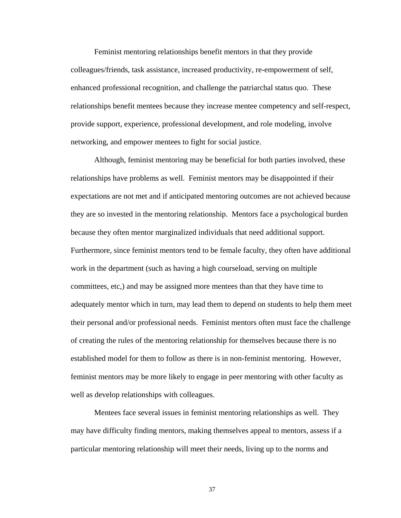Feminist mentoring relationships benefit mentors in that they provide colleagues/friends, task assistance, increased productivity, re-empowerment of self, enhanced professional recognition, and challenge the patriarchal status quo. These relationships benefit mentees because they increase mentee competency and self-respect, provide support, experience, professional development, and role modeling, involve networking, and empower mentees to fight for social justice.

Although, feminist mentoring may be beneficial for both parties involved, these relationships have problems as well. Feminist mentors may be disappointed if their expectations are not met and if anticipated mentoring outcomes are not achieved because they are so invested in the mentoring relationship. Mentors face a psychological burden because they often mentor marginalized individuals that need additional support. Furthermore, since feminist mentors tend to be female faculty, they often have additional work in the department (such as having a high courseload, serving on multiple committees, etc,) and may be assigned more mentees than that they have time to adequately mentor which in turn, may lead them to depend on students to help them meet their personal and/or professional needs. Feminist mentors often must face the challenge of creating the rules of the mentoring relationship for themselves because there is no established model for them to follow as there is in non-feminist mentoring. However, feminist mentors may be more likely to engage in peer mentoring with other faculty as well as develop relationships with colleagues.

Mentees face several issues in feminist mentoring relationships as well. They may have difficulty finding mentors, making themselves appeal to mentors, assess if a particular mentoring relationship will meet their needs, living up to the norms and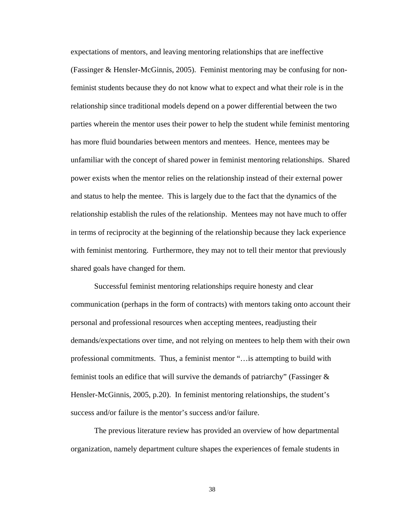expectations of mentors, and leaving mentoring relationships that are ineffective (Fassinger & Hensler-McGinnis, 2005). Feminist mentoring may be confusing for nonfeminist students because they do not know what to expect and what their role is in the relationship since traditional models depend on a power differential between the two parties wherein the mentor uses their power to help the student while feminist mentoring has more fluid boundaries between mentors and mentees. Hence, mentees may be unfamiliar with the concept of shared power in feminist mentoring relationships. Shared power exists when the mentor relies on the relationship instead of their external power and status to help the mentee. This is largely due to the fact that the dynamics of the relationship establish the rules of the relationship. Mentees may not have much to offer in terms of reciprocity at the beginning of the relationship because they lack experience with feminist mentoring. Furthermore, they may not to tell their mentor that previously shared goals have changed for them.

Successful feminist mentoring relationships require honesty and clear communication (perhaps in the form of contracts) with mentors taking onto account their personal and professional resources when accepting mentees, readjusting their demands/expectations over time, and not relying on mentees to help them with their own professional commitments. Thus, a feminist mentor "…is attempting to build with feminist tools an edifice that will survive the demands of patriarchy" (Fassinger  $\&$ Hensler-McGinnis, 2005, p.20). In feminist mentoring relationships, the student's success and/or failure is the mentor's success and/or failure.

The previous literature review has provided an overview of how departmental organization, namely department culture shapes the experiences of female students in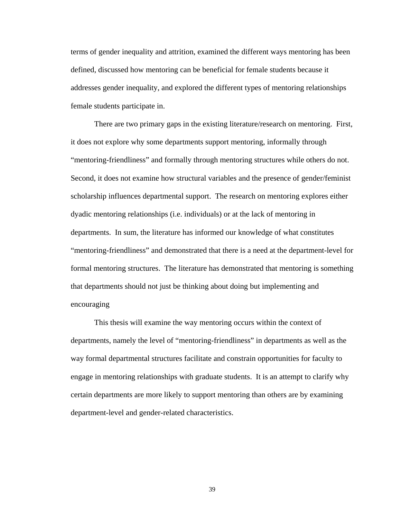terms of gender inequality and attrition, examined the different ways mentoring has been defined, discussed how mentoring can be beneficial for female students because it addresses gender inequality, and explored the different types of mentoring relationships female students participate in.

There are two primary gaps in the existing literature/research on mentoring. First, it does not explore why some departments support mentoring, informally through "mentoring-friendliness" and formally through mentoring structures while others do not. Second, it does not examine how structural variables and the presence of gender/feminist scholarship influences departmental support. The research on mentoring explores either dyadic mentoring relationships (i.e. individuals) or at the lack of mentoring in departments. In sum, the literature has informed our knowledge of what constitutes "mentoring-friendliness" and demonstrated that there is a need at the department-level for formal mentoring structures. The literature has demonstrated that mentoring is something that departments should not just be thinking about doing but implementing and encouraging

This thesis will examine the way mentoring occurs within the context of departments, namely the level of "mentoring-friendliness" in departments as well as the way formal departmental structures facilitate and constrain opportunities for faculty to engage in mentoring relationships with graduate students. It is an attempt to clarify why certain departments are more likely to support mentoring than others are by examining department-level and gender-related characteristics.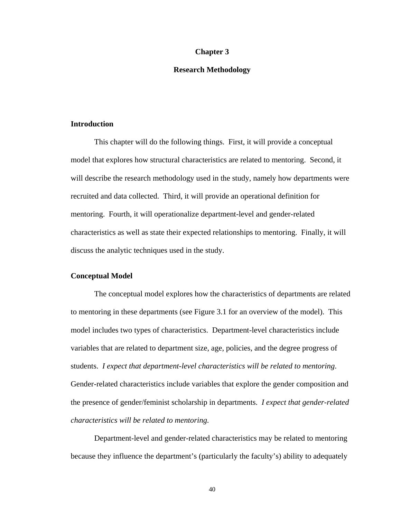### **Chapter 3**

### **Research Methodology**

### **Introduction**

This chapter will do the following things. First, it will provide a conceptual model that explores how structural characteristics are related to mentoring. Second, it will describe the research methodology used in the study, namely how departments were recruited and data collected. Third, it will provide an operational definition for mentoring. Fourth, it will operationalize department-level and gender-related characteristics as well as state their expected relationships to mentoring. Finally, it will discuss the analytic techniques used in the study.

# **Conceptual Model**

The conceptual model explores how the characteristics of departments are related to mentoring in these departments (see Figure 3.1 for an overview of the model). This model includes two types of characteristics. Department-level characteristics include variables that are related to department size, age, policies, and the degree progress of students. *I expect that department-level characteristics will be related to mentoring*. Gender-related characteristics include variables that explore the gender composition and the presence of gender/feminist scholarship in departments. *I expect that gender-related characteristics will be related to mentoring.* 

Department-level and gender-related characteristics may be related to mentoring because they influence the department's (particularly the faculty's) ability to adequately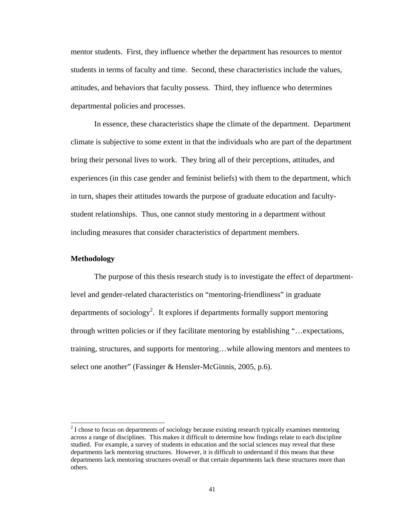mentor students. First, they influence whether the department has resources to mentor students in terms of faculty and time. Second, these characteristics include the values, attitudes, and behaviors that faculty possess. Third, they influence who determines departmental policies and processes.

In essence, these characteristics shape the climate of the department. Department climate is subjective to some extent in that the individuals who are part of the department bring their personal lives to work. They bring all of their perceptions, attitudes, and experiences (in this case gender and feminist beliefs) with them to the department, which in turn, shapes their attitudes towards the purpose of graduate education and facultystudent relationships. Thus, one cannot study mentoring in a department without including measures that consider characteristics of department members.

## **Methodology**

l

The purpose of this thesis research study is to investigate the effect of departmentlevel and gender-related characteristics on "mentoring-friendliness" in graduate departments of sociology<sup>2</sup>. It explores if departments formally support mentoring through written policies or if they facilitate mentoring by establishing "…expectations, training, structures, and supports for mentoring…while allowing mentors and mentees to select one another" (Fassinger & Hensler-McGinnis, 2005, p.6).

 $2^{2}$  I chose to focus on departments of sociology because existing research typically examines mentoring across a range of disciplines. This makes it difficult to determine how findings relate to each discipline studied. For example, a survey of students in education and the social sciences may reveal that these departments lack mentoring structures. However, it is difficult to understand if this means that these departments lack mentoring structures overall or that certain departments lack these structures more than others.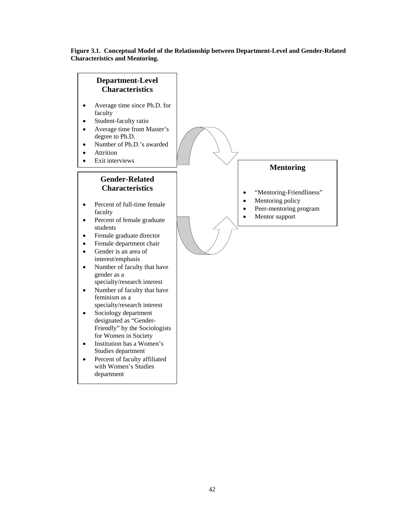### **Figure 3.1. Conceptual Model of the Relationship between Department-Level and Gender-Related Characteristics and Mentoring.**

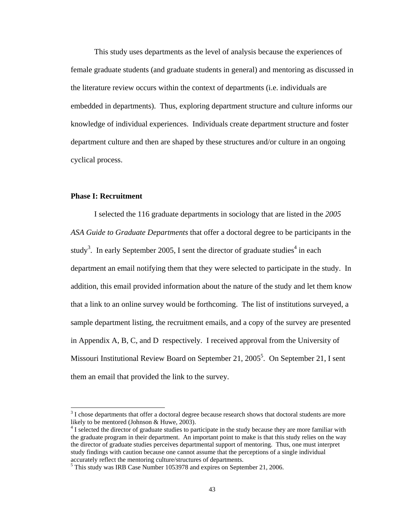This study uses departments as the level of analysis because the experiences of female graduate students (and graduate students in general) and mentoring as discussed in the literature review occurs within the context of departments (i.e. individuals are embedded in departments). Thus, exploring department structure and culture informs our knowledge of individual experiences. Individuals create department structure and foster department culture and then are shaped by these structures and/or culture in an ongoing cyclical process.

## **Phase I: Recruitment**

 $\overline{a}$ 

I selected the 116 graduate departments in sociology that are listed in the *2005 ASA Guide to Graduate Departments* that offer a doctoral degree to be participants in the study<sup>3</sup>. In early September 2005, I sent the director of graduate studies<sup>4</sup> in each department an email notifying them that they were selected to participate in the study. In addition, this email provided information about the nature of the study and let them know that a link to an online survey would be forthcoming. The list of institutions surveyed, a sample department listing, the recruitment emails, and a copy of the survey are presented in Appendix A, B, C, and D respectively. I received approval from the University of Missouri Institutional Review Board on September 21, 2005<sup>5</sup>. On September 21, I sent them an email that provided the link to the survey.

 $3<sup>3</sup>$  I chose departments that offer a doctoral degree because research shows that doctoral students are more likely to be mentored (Johnson & Huwe, 2003).

<sup>&</sup>lt;sup>4</sup> I selected the director of graduate studies to participate in the study because they are more familiar with the graduate program in their department. An important point to make is that this study relies on the way the director of graduate studies perceives departmental support of mentoring. Thus, one must interpret study findings with caution because one cannot assume that the perceptions of a single individual accurately reflect the mentoring culture/structures of departments.

 $<sup>5</sup>$  This study was IRB Case Number 1053978 and expires on September 21, 2006.</sup>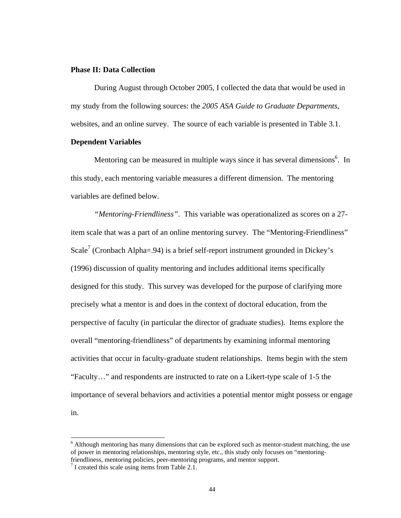## **Phase II: Data Collection**

During August through October 2005, I collected the data that would be used in my study from the following sources: the *2005 ASA Guide to Graduate Departments*, websites, and an online survey. The source of each variable is presented in Table 3.1.

### **Dependent Variables**

Mentoring can be measured in multiple ways since it has several dimensions<sup>6</sup>. In this study, each mentoring variable measures a different dimension. The mentoring variables are defined below.

*"Mentoring-Friendliness"*. This variable was operationalized as scores on a 27 item scale that was a part of an online mentoring survey. The "Mentoring-Friendliness" Scale<sup>7</sup> (Cronbach Alpha=.94) is a brief self-report instrument grounded in Dickey's (1996) discussion of quality mentoring and includes additional items specifically designed for this study. This survey was developed for the purpose of clarifying more precisely what a mentor is and does in the context of doctoral education, from the perspective of faculty (in particular the director of graduate studies). Items explore the overall "mentoring-friendliness" of departments by examining informal mentoring activities that occur in faculty-graduate student relationships. Items begin with the stem "Faculty…" and respondents are instructed to rate on a Likert-type scale of 1-5 the importance of several behaviors and activities a potential mentor might possess or engage in.

 $\overline{a}$ 

 $6$  Although mentoring has many dimensions that can be explored such as mentor-student matching, the use of power in mentoring relationships, mentoring style, etc., this study only focuses on "mentoringfriendliness, mentoring policies, peer-mentoring programs, and mentor support.

<sup>&</sup>lt;sup>7</sup> I created this scale using items from Table 2.1.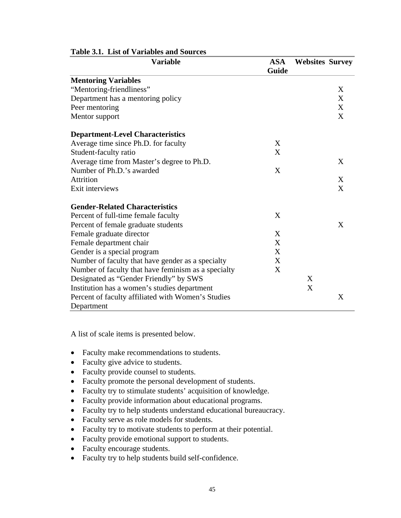| <b>Variable</b>                                     | <b>ASA</b> | <b>Websites Survey</b> |   |
|-----------------------------------------------------|------------|------------------------|---|
|                                                     | Guide      |                        |   |
| <b>Mentoring Variables</b>                          |            |                        |   |
| "Mentoring-friendliness"                            |            |                        | X |
| Department has a mentoring policy                   |            |                        | X |
| Peer mentoring                                      |            |                        | X |
| Mentor support                                      |            |                        | X |
| <b>Department-Level Characteristics</b>             |            |                        |   |
| Average time since Ph.D. for faculty                | X          |                        |   |
| Student-faculty ratio                               | X          |                        |   |
| Average time from Master's degree to Ph.D.          |            |                        | X |
| Number of Ph.D.'s awarded                           | X          |                        |   |
| Attrition                                           |            |                        | X |
| Exit interviews                                     |            |                        | X |
| <b>Gender-Related Characteristics</b>               |            |                        |   |
| Percent of full-time female faculty                 | X          |                        |   |
| Percent of female graduate students                 |            |                        | X |
| Female graduate director                            | X          |                        |   |
| Female department chair                             | X          |                        |   |
| Gender is a special program                         | X          |                        |   |
| Number of faculty that have gender as a specialty   | X          |                        |   |
| Number of faculty that have feminism as a specialty | X          |                        |   |
| Designated as "Gender Friendly" by SWS              |            | X                      |   |
| Institution has a women's studies department        |            | X                      |   |
| Percent of faculty affiliated with Women's Studies  |            |                        | X |
| Department                                          |            |                        |   |

# **Table 3.1. List of Variables and Sources**

A list of scale items is presented below.

- Faculty make recommendations to students.
- Faculty give advice to students.
- Faculty provide counsel to students.
- Faculty promote the personal development of students.
- Faculty try to stimulate students' acquisition of knowledge.
- Faculty provide information about educational programs.
- Faculty try to help students understand educational bureaucracy.
- Faculty serve as role models for students.
- Faculty try to motivate students to perform at their potential.
- Faculty provide emotional support to students.
- Faculty encourage students.
- Faculty try to help students build self-confidence.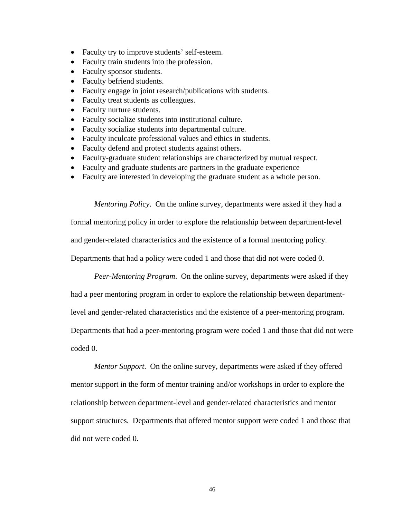- Faculty try to improve students' self-esteem.
- Faculty train students into the profession.
- Faculty sponsor students.
- Faculty befriend students.
- Faculty engage in joint research/publications with students.
- Faculty treat students as colleagues.
- Faculty nurture students.
- Faculty socialize students into institutional culture.
- Faculty socialize students into departmental culture.
- Faculty inculcate professional values and ethics in students.
- Faculty defend and protect students against others.
- Faculty-graduate student relationships are characterized by mutual respect.
- Faculty and graduate students are partners in the graduate experience
- Faculty are interested in developing the graduate student as a whole person.

 *Mentoring Policy*. On the online survey, departments were asked if they had a formal mentoring policy in order to explore the relationship between department-level and gender-related characteristics and the existence of a formal mentoring policy. Departments that had a policy were coded 1 and those that did not were coded 0.

*Peer-Mentoring Program*. On the online survey, departments were asked if they

had a peer mentoring program in order to explore the relationship between department-

level and gender-related characteristics and the existence of a peer-mentoring program.

Departments that had a peer-mentoring program were coded 1 and those that did not were

coded 0.

*Mentor Support*. On the online survey, departments were asked if they offered mentor support in the form of mentor training and/or workshops in order to explore the relationship between department-level and gender-related characteristics and mentor support structures. Departments that offered mentor support were coded 1 and those that did not were coded 0.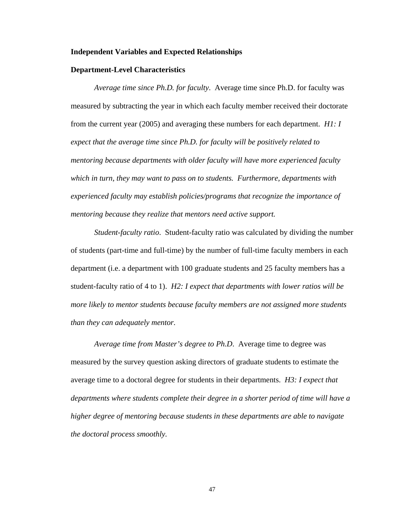### **Independent Variables and Expected Relationships**

### **Department-Level Characteristics**

*Average time since Ph.D. for faculty*. Average time since Ph.D. for faculty was measured by subtracting the year in which each faculty member received their doctorate from the current year (2005) and averaging these numbers for each department. *H1: I expect that the average time since Ph.D. for faculty will be positively related to mentoring because departments with older faculty will have more experienced faculty which in turn, they may want to pass on to students. Furthermore, departments with experienced faculty may establish policies/programs that recognize the importance of mentoring because they realize that mentors need active support.* 

*Student-faculty ratio*. Student-faculty ratio was calculated by dividing the number of students (part-time and full-time) by the number of full-time faculty members in each department (i.e. a department with 100 graduate students and 25 faculty members has a student-faculty ratio of 4 to 1). *H2: I expect that departments with lower ratios will be more likely to mentor students because faculty members are not assigned more students than they can adequately mentor.* 

*Average time from Master's degree to Ph.D*. Average time to degree was measured by the survey question asking directors of graduate students to estimate the average time to a doctoral degree for students in their departments. *H3: I expect that departments where students complete their degree in a shorter period of time will have a higher degree of mentoring because students in these departments are able to navigate the doctoral process smoothly.*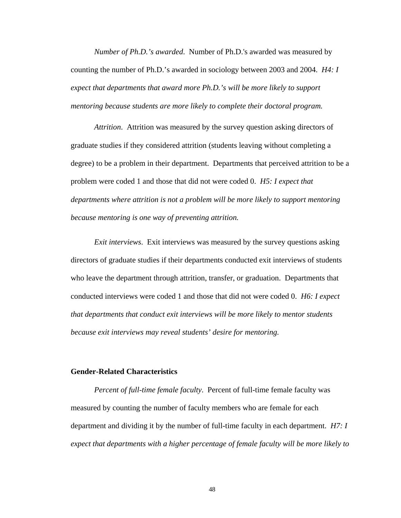*Number of Ph.D.'s awarded*. Number of Ph.D.'s awarded was measured by counting the number of Ph.D.'s awarded in sociology between 2003 and 2004. *H4: I expect that departments that award more Ph.D.'s will be more likely to support mentoring because students are more likely to complete their doctoral program.* 

*Attrition*. Attrition was measured by the survey question asking directors of graduate studies if they considered attrition (students leaving without completing a degree) to be a problem in their department. Departments that perceived attrition to be a problem were coded 1 and those that did not were coded 0. *H5: I expect that departments where attrition is not a problem will be more likely to support mentoring because mentoring is one way of preventing attrition.*

*Exit interviews*. Exit interviews was measured by the survey questions asking directors of graduate studies if their departments conducted exit interviews of students who leave the department through attrition, transfer, or graduation. Departments that conducted interviews were coded 1 and those that did not were coded 0. *H6: I expect that departments that conduct exit interviews will be more likely to mentor students because exit interviews may reveal students' desire for mentoring.* 

## **Gender-Related Characteristics**

*Percent of full-time female faculty*. Percent of full-time female faculty was measured by counting the number of faculty members who are female for each department and dividing it by the number of full-time faculty in each department. *H7: I expect that departments with a higher percentage of female faculty will be more likely to*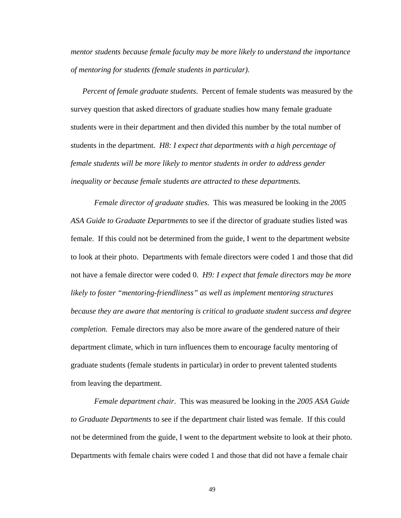*mentor students because female faculty may be more likely to understand the importance of mentoring for students (female students in particular).* 

*Percent of female graduate students*. Percent of female students was measured by the survey question that asked directors of graduate studies how many female graduate students were in their department and then divided this number by the total number of students in the department. *H8: I expect that departments with a high percentage of female students will be more likely to mentor students in order to address gender inequality or because female students are attracted to these departments.* 

*Female director of graduate studies*. This was measured be looking in the *2005 ASA Guide to Graduate Departments* to see if the director of graduate studies listed was female. If this could not be determined from the guide, I went to the department website to look at their photo. Departments with female directors were coded 1 and those that did not have a female director were coded 0. *H9: I expect that female directors may be more likely to foster "mentoring-friendliness" as well as implement mentoring structures because they are aware that mentoring is critical to graduate student success and degree completion.* Female directors may also be more aware of the gendered nature of their department climate, which in turn influences them to encourage faculty mentoring of graduate students (female students in particular) in order to prevent talented students from leaving the department.

*Female department chair*. This was measured be looking in the *2005 ASA Guide to Graduate Departments* to see if the department chair listed was female. If this could not be determined from the guide, I went to the department website to look at their photo. Departments with female chairs were coded 1 and those that did not have a female chair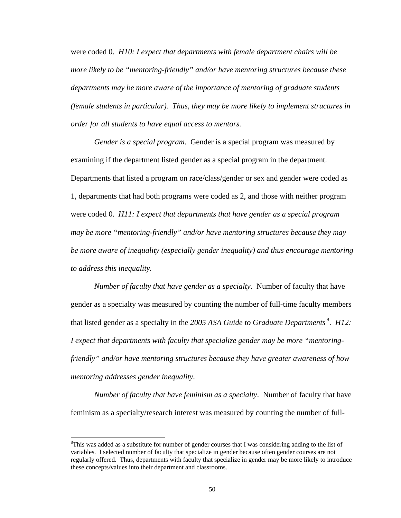were coded 0. *H10: I expect that departments with female department chairs will be more likely to be "mentoring-friendly" and/or have mentoring structures because these departments may be more aware of the importance of mentoring of graduate students (female students in particular). Thus, they may be more likely to implement structures in order for all students to have equal access to mentors.* 

*Gender is a special program*. Gender is a special program was measured by examining if the department listed gender as a special program in the department. Departments that listed a program on race/class/gender or sex and gender were coded as 1, departments that had both programs were coded as 2, and those with neither program were coded 0. *H11: I expect that departments that have gender as a special program may be more "mentoring-friendly" and/or have mentoring structures because they may be more aware of inequality (especially gender inequality) and thus encourage mentoring to address this inequality.*

*Number of faculty that have gender as a specialty*. Number of faculty that have gender as a specialty was measured by counting the number of full-time faculty members that listed gender as a specialty in the *2005 ASA Guide to Graduate Departments* 8. *H12: I expect that departments with faculty that specialize gender may be more "mentoringfriendly" and/or have mentoring structures because they have greater awareness of how mentoring addresses gender inequality.*

*Number of faculty that have feminism as a specialty*. Number of faculty that have feminism as a specialty/research interest was measured by counting the number of full-

 $\overline{a}$ 

<sup>&</sup>lt;sup>8</sup>This was added as a substitute for number of gender courses that I was considering adding to the list of variables. I selected number of faculty that specialize in gender because often gender courses are not regularly offered. Thus, departments with faculty that specialize in gender may be more likely to introduce these concepts/values into their department and classrooms.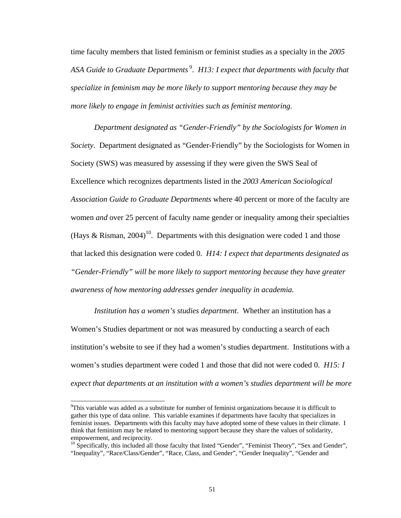time faculty members that listed feminism or feminist studies as a specialty in the *2005*  ASA Guide to Graduate Departments<sup>9</sup>. *H13: I expect that departments with faculty that specialize in feminism may be more likely to support mentoring because they may be more likely to engage in feminist activities such as feminist mentoring.* 

*Department designated as "Gender-Friendly" by the Sociologists for Women in Society*. Department designated as "Gender-Friendly" by the Sociologists for Women in Society (SWS) was measured by assessing if they were given the SWS Seal of Excellence which recognizes departments listed in the *2003 American Sociological Association Guide to Graduate Departments* where 40 percent or more of the faculty are women *and* over 25 percent of faculty name gender or inequality among their specialties (Hays & Risman, 2004)<sup>10</sup>. Departments with this designation were coded 1 and those that lacked this designation were coded 0. *H14: I expect that departments designated as "Gender-Friendly" will be more likely to support mentoring because they have greater awareness of how mentoring addresses gender inequality in academia.*

*Institution has a women's studies department*. Whether an institution has a Women's Studies department or not was measured by conducting a search of each institution's website to see if they had a women's studies department. Institutions with a women's studies department were coded 1 and those that did not were coded 0. *H15: I expect that departments at an institution with a women's studies department will be more* 

 $\overline{a}$ 

<sup>&</sup>lt;sup>9</sup>This variable was added as a substitute for number of feminist organizations because it is difficult to gather this type of data online. This variable examines if departments have faculty that specializes in feminist issues. Departments with this faculty may have adopted some of these values in their climate. I think that feminism may be related to mentoring support because they share the values of solidarity, empowerment, and reciprocity.

<sup>&</sup>lt;sup>10</sup> Specifically, this included all those faculty that listed "Gender", "Feminist Theory", "Sex and Gender", "Inequality", "Race/Class/Gender", "Race, Class, and Gender", "Gender Inequality", "Gender and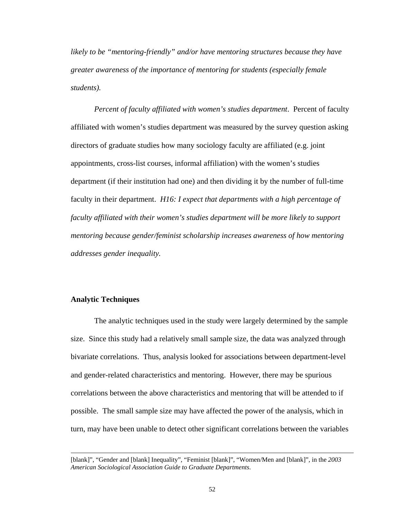*likely to be "mentoring-friendly" and/or have mentoring structures because they have greater awareness of the importance of mentoring for students (especially female students).*

*Percent of faculty affiliated with women's studies department*. Percent of faculty affiliated with women's studies department was measured by the survey question asking directors of graduate studies how many sociology faculty are affiliated (e.g. joint appointments, cross-list courses, informal affiliation) with the women's studies department (if their institution had one) and then dividing it by the number of full-time faculty in their department. *H16: I expect that departments with a high percentage of faculty affiliated with their women's studies department will be more likely to support mentoring because gender/feminist scholarship increases awareness of how mentoring addresses gender inequality.* 

## **Analytic Techniques**

 $\overline{a}$ 

The analytic techniques used in the study were largely determined by the sample size. Since this study had a relatively small sample size, the data was analyzed through bivariate correlations. Thus, analysis looked for associations between department-level and gender-related characteristics and mentoring. However, there may be spurious correlations between the above characteristics and mentoring that will be attended to if possible. The small sample size may have affected the power of the analysis, which in turn, may have been unable to detect other significant correlations between the variables

<sup>[</sup>blank]", "Gender and [blank] Inequality", "Feminist [blank]", "Women/Men and [blank]", in the *2003 American Sociological Association Guide to Graduate Departments*.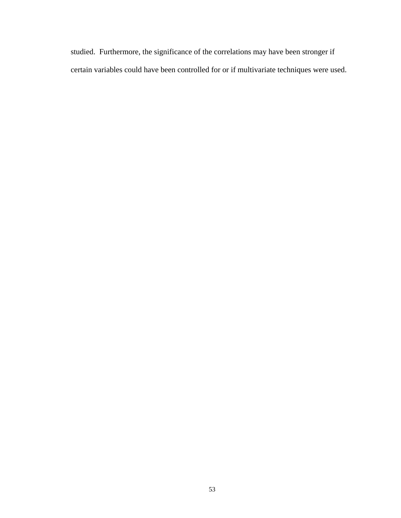studied. Furthermore, the significance of the correlations may have been stronger if certain variables could have been controlled for or if multivariate techniques were used.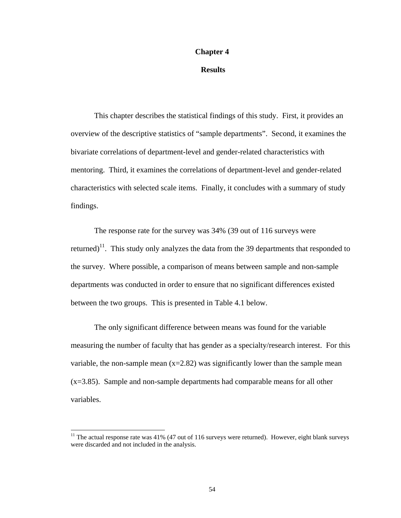### **Chapter 4**

## **Results**

This chapter describes the statistical findings of this study. First, it provides an overview of the descriptive statistics of "sample departments". Second, it examines the bivariate correlations of department-level and gender-related characteristics with mentoring. Third, it examines the correlations of department-level and gender-related characteristics with selected scale items. Finally, it concludes with a summary of study findings.

The response rate for the survey was 34% (39 out of 116 surveys were returned)<sup>11</sup>. This study only analyzes the data from the 39 departments that responded to the survey. Where possible, a comparison of means between sample and non-sample departments was conducted in order to ensure that no significant differences existed between the two groups. This is presented in Table 4.1 below.

The only significant difference between means was found for the variable measuring the number of faculty that has gender as a specialty/research interest. For this variable, the non-sample mean  $(x=2.82)$  was significantly lower than the sample mean  $(x=3.85)$ . Sample and non-sample departments had comparable means for all other variables.

 $\overline{a}$ 

 $11$  The actual response rate was 41% (47 out of 116 surveys were returned). However, eight blank surveys were discarded and not included in the analysis.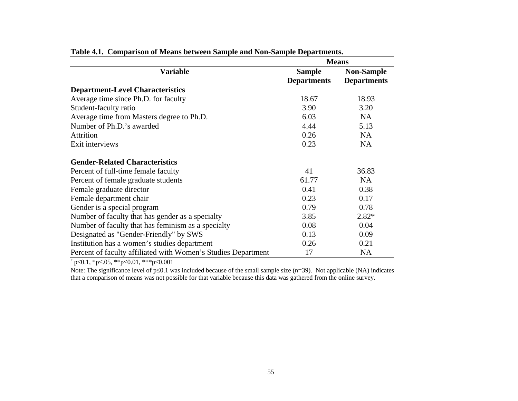|                                                               | <b>Means</b>       |                    |  |  |
|---------------------------------------------------------------|--------------------|--------------------|--|--|
| <b>Variable</b>                                               | <b>Sample</b>      | <b>Non-Sample</b>  |  |  |
|                                                               | <b>Departments</b> | <b>Departments</b> |  |  |
| <b>Department-Level Characteristics</b>                       |                    |                    |  |  |
| Average time since Ph.D. for faculty                          | 18.67              | 18.93              |  |  |
| Student-faculty ratio                                         | 3.90               | 3.20               |  |  |
| Average time from Masters degree to Ph.D.                     | 6.03               | <b>NA</b>          |  |  |
| Number of Ph.D.'s awarded                                     | 4.44               | 5.13               |  |  |
| <b>Attrition</b>                                              | 0.26               | <b>NA</b>          |  |  |
| Exit interviews                                               | 0.23               | <b>NA</b>          |  |  |
| <b>Gender-Related Characteristics</b>                         |                    |                    |  |  |
| Percent of full-time female faculty                           | 41                 | 36.83              |  |  |
| Percent of female graduate students                           | 61.77              | <b>NA</b>          |  |  |
| Female graduate director                                      | 0.41               | 0.38               |  |  |
| Female department chair                                       | 0.23               | 0.17               |  |  |
| Gender is a special program                                   | 0.79               | 0.78               |  |  |
| Number of faculty that has gender as a specialty              | 3.85               | $2.82*$            |  |  |
| Number of faculty that has feminism as a specialty            | 0.08               | 0.04               |  |  |
| Designated as "Gender-Friendly" by SWS                        | 0.13               | 0.09               |  |  |
| Institution has a women's studies department                  | 0.26               | 0.21               |  |  |
| Percent of faculty affiliated with Women's Studies Department | 17                 | <b>NA</b>          |  |  |

| Table 4.1. Comparison of Means between Sample and Non-Sample Departments. |  |  |  |  |  |  |  |
|---------------------------------------------------------------------------|--|--|--|--|--|--|--|
|---------------------------------------------------------------------------|--|--|--|--|--|--|--|

 $+$  p≤0.1, \*p≤.05, \*\*p≤0.01, \*\*\*p≤0.001

Note: The significance level of p≤0.1 was included because of the small sample size (n=39). Not applicable (NA) indicates that a comparison of means was not possible for that variable because this data was gathered from the online survey.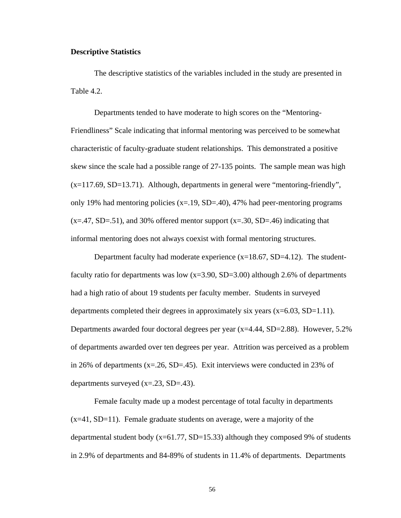## **Descriptive Statistics**

The descriptive statistics of the variables included in the study are presented in Table 4.2.

 Departments tended to have moderate to high scores on the "Mentoring-Friendliness" Scale indicating that informal mentoring was perceived to be somewhat characteristic of faculty-graduate student relationships. This demonstrated a positive skew since the scale had a possible range of 27-135 points. The sample mean was high  $(x=117.69, SD=13.71)$ . Although, departments in general were "mentoring-friendly", only 19% had mentoring policies  $(x=.19, SD=.40)$ , 47% had peer-mentoring programs  $(x=47, SD=.51)$ , and 30% offered mentor support  $(x=.30, SD=.46)$  indicating that informal mentoring does not always coexist with formal mentoring structures.

Department faculty had moderate experience  $(x=18.67, SD=4.12)$ . The studentfaculty ratio for departments was low  $(x=3.90, SD=3.00)$  although 2.6% of departments had a high ratio of about 19 students per faculty member. Students in surveyed departments completed their degrees in approximately six years  $(x=6.03, SD=1.11)$ . Departments awarded four doctoral degrees per year (x=4.44, SD=2.88). However, 5.2% of departments awarded over ten degrees per year. Attrition was perceived as a problem in 26% of departments ( $x = .26$ , SD= $.45$ ). Exit interviews were conducted in 23% of departments surveyed  $(x=.23, SD=.43)$ .

Female faculty made up a modest percentage of total faculty in departments  $(x=41, SD=11)$ . Female graduate students on average, were a majority of the departmental student body  $(x=61.77, SD=15.33)$  although they composed 9% of students in 2.9% of departments and 84-89% of students in 11.4% of departments. Departments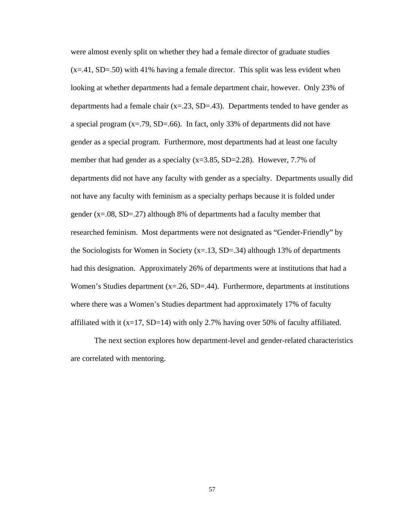were almost evenly split on whether they had a female director of graduate studies  $(x=41, SD=50)$  with 41% having a female director. This split was less evident when looking at whether departments had a female department chair, however. Only 23% of departments had a female chair  $(x=.23, SD=.43)$ . Departments tended to have gender as a special program  $(x=.79, SD=.66)$ . In fact, only 33% of departments did not have gender as a special program. Furthermore, most departments had at least one faculty member that had gender as a specialty  $(x=3.85, SD=2.28)$ . However, 7.7% of departments did not have any faculty with gender as a specialty. Departments usually did not have any faculty with feminism as a specialty perhaps because it is folded under gender (x=.08, SD=.27) although 8% of departments had a faculty member that researched feminism. Most departments were not designated as "Gender-Friendly" by the Sociologists for Women in Society  $(x=1.13, SD=.34)$  although 13% of departments had this designation. Approximately 26% of departments were at institutions that had a Women's Studies department  $(x=26, SD=44)$ . Furthermore, departments at institutions where there was a Women's Studies department had approximately 17% of faculty affiliated with it  $(x=17, SD=14)$  with only 2.7% having over 50% of faculty affiliated.

The next section explores how department-level and gender-related characteristics are correlated with mentoring.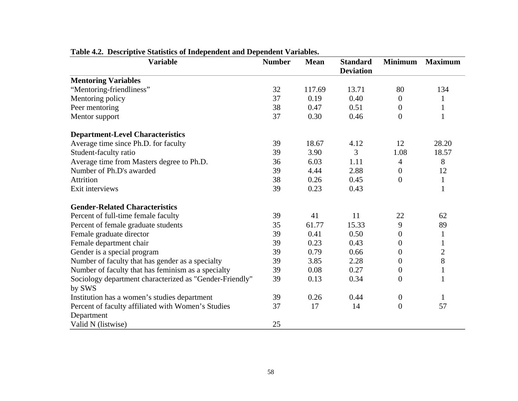| <b>Variable</b>                                         | <b>Number</b> | <b>Mean</b> | <b>Standard</b><br><b>Deviation</b> | <b>Minimum</b>   | <b>Maximum</b> |
|---------------------------------------------------------|---------------|-------------|-------------------------------------|------------------|----------------|
| <b>Mentoring Variables</b>                              |               |             |                                     |                  |                |
| "Mentoring-friendliness"                                | 32            | 117.69      | 13.71                               | 80               | 134            |
| Mentoring policy                                        | 37            | 0.19        | 0.40                                | $\boldsymbol{0}$ | $\mathbf{1}$   |
| Peer mentoring                                          | 38            | 0.47        | 0.51                                | $\overline{0}$   | $\mathbf{1}$   |
| Mentor support                                          | 37            | 0.30        | 0.46                                | $\overline{0}$   | 1              |
| <b>Department-Level Characteristics</b>                 |               |             |                                     |                  |                |
| Average time since Ph.D. for faculty                    | 39            | 18.67       | 4.12                                | 12               | 28.20          |
| Student-faculty ratio                                   | 39            | 3.90        | 3                                   | 1.08             | 18.57          |
| Average time from Masters degree to Ph.D.               | 36            | 6.03        | 1.11                                | 4                | 8              |
| Number of Ph.D's awarded                                | 39            | 4.44        | 2.88                                | $\boldsymbol{0}$ | 12             |
| <b>Attrition</b>                                        | 38            | 0.26        | 0.45                                | $\overline{0}$   | $\mathbf{1}$   |
| Exit interviews                                         | 39            | 0.23        | 0.43                                |                  | $\mathbf{1}$   |
| <b>Gender-Related Characteristics</b>                   |               |             |                                     |                  |                |
| Percent of full-time female faculty                     | 39            | 41          | 11                                  | 22               | 62             |
| Percent of female graduate students                     | 35            | 61.77       | 15.33                               | 9                | 89             |
| Female graduate director                                | 39            | 0.41        | 0.50                                | $\theta$         | $\mathbf{1}$   |
| Female department chair                                 | 39            | 0.23        | 0.43                                | $\theta$         | 1              |
| Gender is a special program                             | 39            | 0.79        | 0.66                                | $\boldsymbol{0}$ | $\overline{2}$ |
| Number of faculty that has gender as a specialty        | 39            | 3.85        | 2.28                                | $\theta$         | 8              |
| Number of faculty that has feminism as a specialty      | 39            | 0.08        | 0.27                                | $\boldsymbol{0}$ | $\mathbf{1}$   |
| Sociology department characterized as "Gender-Friendly" | 39            | 0.13        | 0.34                                | $\overline{0}$   | 1              |
| by SWS                                                  |               |             |                                     |                  |                |
| Institution has a women's studies department            | 39            | 0.26        | 0.44                                | $\theta$         | $\mathbf{1}$   |
| Percent of faculty affiliated with Women's Studies      | 37            | 17          | 14                                  | $\overline{0}$   | 57             |
| Department                                              |               |             |                                     |                  |                |
| Valid N (listwise)                                      | 25            |             |                                     |                  |                |

# **Table 4.2. Descriptive Statistics of Independent and Dependent Variables.**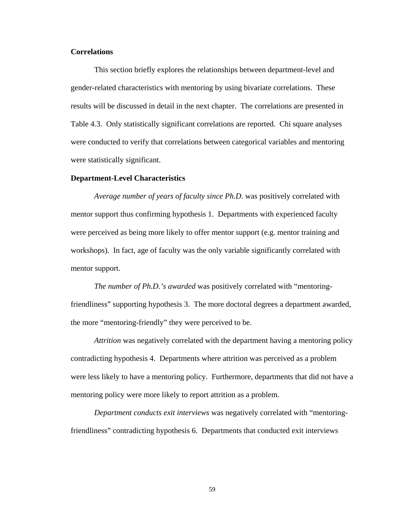## **Correlations**

This section briefly explores the relationships between department-level and gender-related characteristics with mentoring by using bivariate correlations. These results will be discussed in detail in the next chapter. The correlations are presented in Table 4.3. Only statistically significant correlations are reported. Chi square analyses were conducted to verify that correlations between categorical variables and mentoring were statistically significant.

### **Department-Level Characteristics**

*Average number of years of faculty since Ph.D.* was positively correlated with mentor support thus confirming hypothesis 1. Departments with experienced faculty were perceived as being more likely to offer mentor support (e.g. mentor training and workshops). In fact, age of faculty was the only variable significantly correlated with mentor support.

*The number of Ph.D.'s awarded* was positively correlated with "mentoringfriendliness" supporting hypothesis 3. The more doctoral degrees a department awarded, the more "mentoring-friendly" they were perceived to be.

*Attrition* was negatively correlated with the department having a mentoring policy contradicting hypothesis 4. Departments where attrition was perceived as a problem were less likely to have a mentoring policy. Furthermore, departments that did not have a mentoring policy were more likely to report attrition as a problem.

*Department conducts exit interviews* was negatively correlated with "mentoringfriendliness" contradicting hypothesis 6. Departments that conducted exit interviews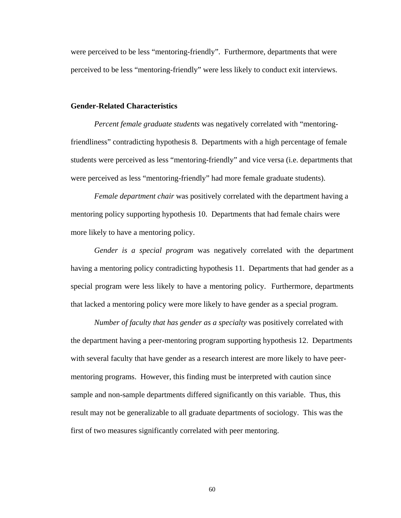were perceived to be less "mentoring-friendly". Furthermore, departments that were perceived to be less "mentoring-friendly" were less likely to conduct exit interviews.

### **Gender-Related Characteristics**

*Percent female graduate students* was negatively correlated with "mentoringfriendliness" contradicting hypothesis 8. Departments with a high percentage of female students were perceived as less "mentoring-friendly" and vice versa (i.e. departments that were perceived as less "mentoring-friendly" had more female graduate students).

*Female department chair* was positively correlated with the department having a mentoring policy supporting hypothesis 10. Departments that had female chairs were more likely to have a mentoring policy.

*Gender is a special program* was negatively correlated with the department having a mentoring policy contradicting hypothesis 11. Departments that had gender as a special program were less likely to have a mentoring policy. Furthermore, departments that lacked a mentoring policy were more likely to have gender as a special program.

*Number of faculty that has gender as a specialty* was positively correlated with the department having a peer-mentoring program supporting hypothesis 12. Departments with several faculty that have gender as a research interest are more likely to have peermentoring programs. However, this finding must be interpreted with caution since sample and non-sample departments differed significantly on this variable. Thus, this result may not be generalizable to all graduate departments of sociology. This was the first of two measures significantly correlated with peer mentoring.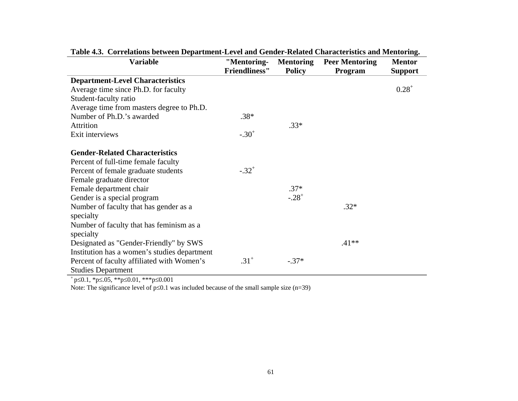| <b>Variable</b>                              | "Mentoring-          | <b>Mentoring</b> | <b>Peer Mentoring</b> | <b>Mentor</b>  |
|----------------------------------------------|----------------------|------------------|-----------------------|----------------|
|                                              | <b>Friendliness"</b> | <b>Policy</b>    | Program               | <b>Support</b> |
| <b>Department-Level Characteristics</b>      |                      |                  |                       |                |
| Average time since Ph.D. for faculty         |                      |                  |                       | $0.28^{+}$     |
| Student-faculty ratio                        |                      |                  |                       |                |
| Average time from masters degree to Ph.D.    |                      |                  |                       |                |
| Number of Ph.D.'s awarded                    | $.38*$               |                  |                       |                |
| <b>Attrition</b>                             |                      | $.33*$           |                       |                |
| Exit interviews                              | $-.30+$              |                  |                       |                |
|                                              |                      |                  |                       |                |
| <b>Gender-Related Characteristics</b>        |                      |                  |                       |                |
| Percent of full-time female faculty          |                      |                  |                       |                |
| Percent of female graduate students          | $-.32+$              |                  |                       |                |
| Female graduate director                     |                      |                  |                       |                |
| Female department chair                      |                      | $.37*$           |                       |                |
| Gender is a special program                  |                      | $-.28+$          |                       |                |
| Number of faculty that has gender as a       |                      |                  | $.32*$                |                |
| specialty                                    |                      |                  |                       |                |
| Number of faculty that has feminism as a     |                      |                  |                       |                |
| specialty                                    |                      |                  |                       |                |
| Designated as "Gender-Friendly" by SWS       |                      |                  | $.41**$               |                |
| Institution has a women's studies department |                      |                  |                       |                |
| Percent of faculty affiliated with Women's   | $.31^{+}$            | $-.37*$          |                       |                |
| <b>Studies Department</b>                    |                      |                  |                       |                |

**Table 4.3. Correlations between Department-Level and Gender-Related Characteristics and Mentoring.** 

+ p≤0.1, \*p≤.05, \*\*p≤0.01, \*\*\*p≤0.001

Note: The significance level of p≤0.1 was included because of the small sample size (n=39)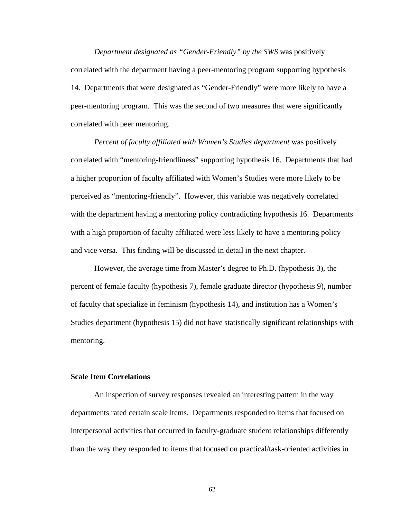*Department designated as "Gender-Friendly" by the SWS* was positively correlated with the department having a peer-mentoring program supporting hypothesis 14. Departments that were designated as "Gender-Friendly" were more likely to have a peer-mentoring program. This was the second of two measures that were significantly correlated with peer mentoring.

*Percent of faculty affiliated with Women's Studies department* was positively correlated with "mentoring-friendliness" supporting hypothesis 16. Departments that had a higher proportion of faculty affiliated with Women's Studies were more likely to be perceived as "mentoring-friendly". However, this variable was negatively correlated with the department having a mentoring policy contradicting hypothesis 16. Departments with a high proportion of faculty affiliated were less likely to have a mentoring policy and vice versa. This finding will be discussed in detail in the next chapter.

However, the average time from Master's degree to Ph.D. (hypothesis 3), the percent of female faculty (hypothesis 7), female graduate director (hypothesis 9), number of faculty that specialize in feminism (hypothesis 14), and institution has a Women's Studies department (hypothesis 15) did not have statistically significant relationships with mentoring.

## **Scale Item Correlations**

 An inspection of survey responses revealed an interesting pattern in the way departments rated certain scale items. Departments responded to items that focused on interpersonal activities that occurred in faculty-graduate student relationships differently than the way they responded to items that focused on practical/task-oriented activities in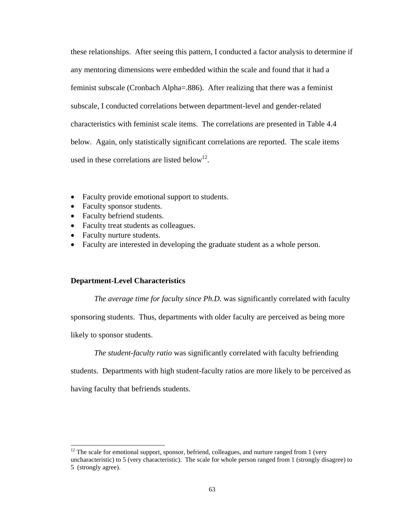these relationships. After seeing this pattern, I conducted a factor analysis to determine if any mentoring dimensions were embedded within the scale and found that it had a feminist subscale (Cronbach Alpha=.886). After realizing that there was a feminist subscale, I conducted correlations between department-level and gender-related characteristics with feminist scale items. The correlations are presented in Table 4.4 below. Again, only statistically significant correlations are reported. The scale items used in these correlations are listed below<sup>12</sup>.

- Faculty provide emotional support to students.
- Faculty sponsor students.
- Faculty befriend students.
- Faculty treat students as colleagues.
- Faculty nurture students.
- Faculty are interested in developing the graduate student as a whole person.

## **Department-Level Characteristics**

*The average time for faculty since Ph.D.* was significantly correlated with faculty

sponsoring students. Thus, departments with older faculty are perceived as being more

likely to sponsor students.

l

*The student-faculty ratio* was significantly correlated with faculty befriending

students. Departments with high student-faculty ratios are more likely to be perceived as

having faculty that befriends students.

 $12$  The scale for emotional support, sponsor, befriend, colleagues, and nurture ranged from 1 (very uncharacteristic) to 5 (very characteristic). The scale for whole person ranged from 1 (strongly disagree) to 5 (strongly agree).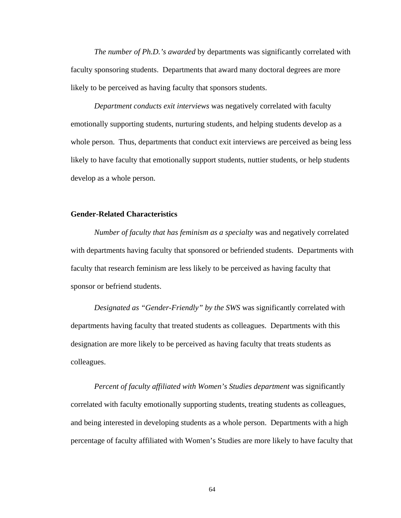*The number of Ph.D.'s awarded* by departments was significantly correlated with faculty sponsoring students. Departments that award many doctoral degrees are more likely to be perceived as having faculty that sponsors students.

*Department conducts exit interviews* was negatively correlated with faculty emotionally supporting students, nurturing students, and helping students develop as a whole person. Thus, departments that conduct exit interviews are perceived as being less likely to have faculty that emotionally support students, nuttier students, or help students develop as a whole person.

## **Gender-Related Characteristics**

*Number of faculty that has feminism as a specialty* was and negatively correlated with departments having faculty that sponsored or befriended students. Departments with faculty that research feminism are less likely to be perceived as having faculty that sponsor or befriend students.

*Designated as "Gender-Friendly" by the SWS* was significantly correlated with departments having faculty that treated students as colleagues. Departments with this designation are more likely to be perceived as having faculty that treats students as colleagues.

*Percent of faculty affiliated with Women's Studies department* was significantly correlated with faculty emotionally supporting students, treating students as colleagues, and being interested in developing students as a whole person. Departments with a high percentage of faculty affiliated with Women's Studies are more likely to have faculty that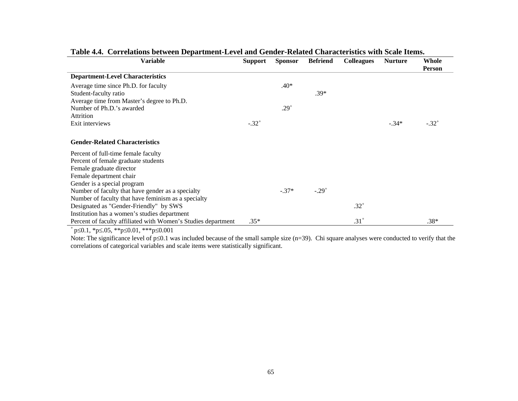| Variable                                                      | <b>Support</b>      | <b>Sponsor</b> | <b>Befriend</b>     | <b>Colleagues</b> | <b>Nurture</b> | Whole<br>Person     |
|---------------------------------------------------------------|---------------------|----------------|---------------------|-------------------|----------------|---------------------|
| <b>Department-Level Characteristics</b>                       |                     |                |                     |                   |                |                     |
| Average time since Ph.D. for faculty                          |                     | $.40*$         |                     |                   |                |                     |
| Student-faculty ratio                                         |                     |                | $.39*$              |                   |                |                     |
| Average time from Master's degree to Ph.D.                    |                     |                |                     |                   |                |                     |
| Number of Ph.D.'s awarded                                     |                     | $.29^{+}$      |                     |                   |                |                     |
| Attrition                                                     |                     |                |                     |                   |                |                     |
| Exit interviews                                               | $-.32$ <sup>+</sup> |                |                     |                   | $-.34*$        | $-.32$ <sup>+</sup> |
|                                                               |                     |                |                     |                   |                |                     |
| <b>Gender-Related Characteristics</b>                         |                     |                |                     |                   |                |                     |
| Percent of full-time female faculty                           |                     |                |                     |                   |                |                     |
| Percent of female graduate students                           |                     |                |                     |                   |                |                     |
| Female graduate director                                      |                     |                |                     |                   |                |                     |
| Female department chair                                       |                     |                |                     |                   |                |                     |
| Gender is a special program                                   |                     |                |                     |                   |                |                     |
| Number of faculty that have gender as a specialty             |                     | $-.37*$        | $-.29$ <sup>+</sup> |                   |                |                     |
| Number of faculty that have feminism as a specialty           |                     |                |                     |                   |                |                     |
| Designated as "Gender-Friendly" by SWS                        |                     |                |                     | $.32^{+}$         |                |                     |
| Institution has a women's studies department                  |                     |                |                     |                   |                |                     |
| Percent of faculty affiliated with Women's Studies department | $.35*$              |                |                     | $.31+$            |                | $.38*$              |

# **Table 4.4. Correlations between Department-Level and Gender-Related Characteristics with Scale Items.**

+ p≤0.1, \*p≤.05, \*\*p≤0.01, \*\*\*p≤0.001

Note: The significance level of p≤0.1 was included because of the small sample size (n=39). Chi square analyses were conducted to verify that the correlations of categorical variables and scale items were statistically significant.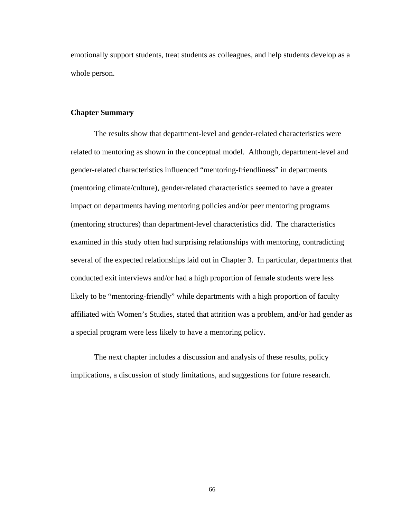emotionally support students, treat students as colleagues, and help students develop as a whole person.

## **Chapter Summary**

The results show that department-level and gender-related characteristics were related to mentoring as shown in the conceptual model. Although, department-level and gender-related characteristics influenced "mentoring-friendliness" in departments (mentoring climate/culture), gender-related characteristics seemed to have a greater impact on departments having mentoring policies and/or peer mentoring programs (mentoring structures) than department-level characteristics did. The characteristics examined in this study often had surprising relationships with mentoring, contradicting several of the expected relationships laid out in Chapter 3. In particular, departments that conducted exit interviews and/or had a high proportion of female students were less likely to be "mentoring-friendly" while departments with a high proportion of faculty affiliated with Women's Studies, stated that attrition was a problem, and/or had gender as a special program were less likely to have a mentoring policy.

The next chapter includes a discussion and analysis of these results, policy implications, a discussion of study limitations, and suggestions for future research.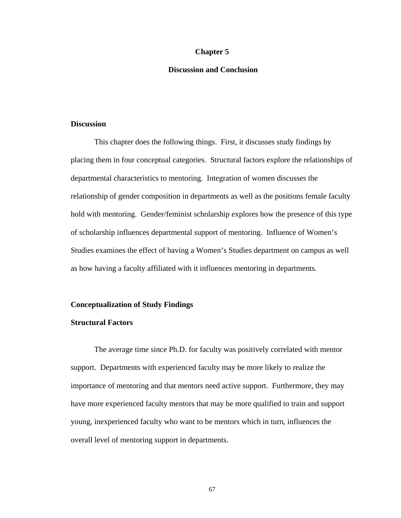## **Chapter 5**

## **Discussion and Conclusion**

## **Discussion**

This chapter does the following things. First, it discusses study findings by placing them in four conceptual categories. Structural factors explore the relationships of departmental characteristics to mentoring. Integration of women discusses the relationship of gender composition in departments as well as the positions female faculty hold with mentoring. Gender/feminist scholarship explores how the presence of this type of scholarship influences departmental support of mentoring. Influence of Women's Studies examines the effect of having a Women's Studies department on campus as well as how having a faculty affiliated with it influences mentoring in departments.

## **Conceptualization of Study Findings**

## **Structural Factors**

The average time since Ph.D. for faculty was positively correlated with mentor support. Departments with experienced faculty may be more likely to realize the importance of mentoring and that mentors need active support. Furthermore, they may have more experienced faculty mentors that may be more qualified to train and support young, inexperienced faculty who want to be mentors which in turn, influences the overall level of mentoring support in departments.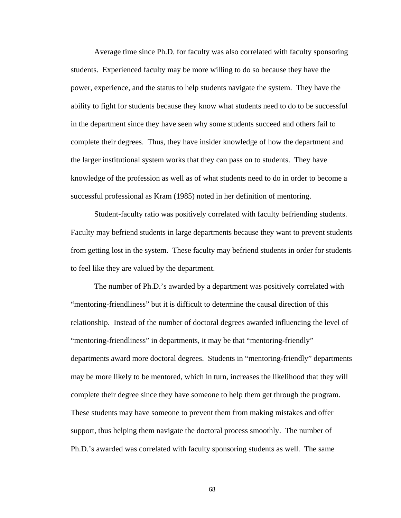Average time since Ph.D. for faculty was also correlated with faculty sponsoring students. Experienced faculty may be more willing to do so because they have the power, experience, and the status to help students navigate the system. They have the ability to fight for students because they know what students need to do to be successful in the department since they have seen why some students succeed and others fail to complete their degrees. Thus, they have insider knowledge of how the department and the larger institutional system works that they can pass on to students. They have knowledge of the profession as well as of what students need to do in order to become a successful professional as Kram (1985) noted in her definition of mentoring.

Student-faculty ratio was positively correlated with faculty befriending students. Faculty may befriend students in large departments because they want to prevent students from getting lost in the system. These faculty may befriend students in order for students to feel like they are valued by the department.

The number of Ph.D.'s awarded by a department was positively correlated with "mentoring-friendliness" but it is difficult to determine the causal direction of this relationship. Instead of the number of doctoral degrees awarded influencing the level of "mentoring-friendliness" in departments, it may be that "mentoring-friendly" departments award more doctoral degrees. Students in "mentoring-friendly" departments may be more likely to be mentored, which in turn, increases the likelihood that they will complete their degree since they have someone to help them get through the program. These students may have someone to prevent them from making mistakes and offer support, thus helping them navigate the doctoral process smoothly. The number of Ph.D.'s awarded was correlated with faculty sponsoring students as well. The same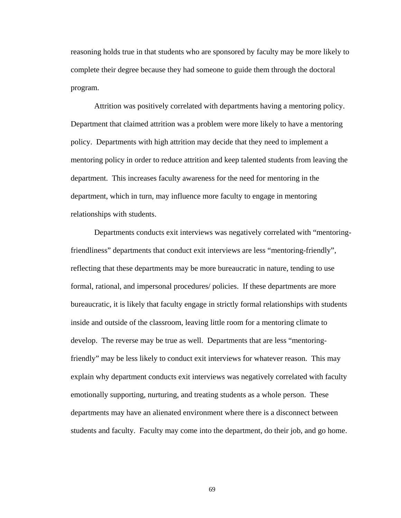reasoning holds true in that students who are sponsored by faculty may be more likely to complete their degree because they had someone to guide them through the doctoral program.

Attrition was positively correlated with departments having a mentoring policy. Department that claimed attrition was a problem were more likely to have a mentoring policy. Departments with high attrition may decide that they need to implement a mentoring policy in order to reduce attrition and keep talented students from leaving the department. This increases faculty awareness for the need for mentoring in the department, which in turn, may influence more faculty to engage in mentoring relationships with students.

Departments conducts exit interviews was negatively correlated with "mentoringfriendliness" departments that conduct exit interviews are less "mentoring-friendly", reflecting that these departments may be more bureaucratic in nature, tending to use formal, rational, and impersonal procedures/ policies. If these departments are more bureaucratic, it is likely that faculty engage in strictly formal relationships with students inside and outside of the classroom, leaving little room for a mentoring climate to develop. The reverse may be true as well. Departments that are less "mentoringfriendly" may be less likely to conduct exit interviews for whatever reason. This may explain why department conducts exit interviews was negatively correlated with faculty emotionally supporting, nurturing, and treating students as a whole person. These departments may have an alienated environment where there is a disconnect between students and faculty. Faculty may come into the department, do their job, and go home.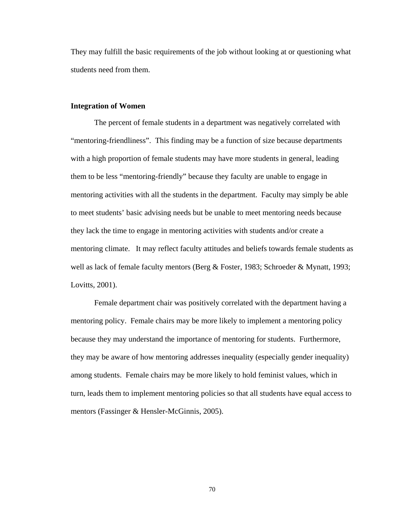They may fulfill the basic requirements of the job without looking at or questioning what students need from them.

## **Integration of Women**

The percent of female students in a department was negatively correlated with "mentoring-friendliness". This finding may be a function of size because departments with a high proportion of female students may have more students in general, leading them to be less "mentoring-friendly" because they faculty are unable to engage in mentoring activities with all the students in the department. Faculty may simply be able to meet students' basic advising needs but be unable to meet mentoring needs because they lack the time to engage in mentoring activities with students and/or create a mentoring climate. It may reflect faculty attitudes and beliefs towards female students as well as lack of female faculty mentors (Berg & Foster, 1983; Schroeder & Mynatt, 1993; Lovitts, 2001).

Female department chair was positively correlated with the department having a mentoring policy. Female chairs may be more likely to implement a mentoring policy because they may understand the importance of mentoring for students. Furthermore, they may be aware of how mentoring addresses inequality (especially gender inequality) among students. Female chairs may be more likely to hold feminist values, which in turn, leads them to implement mentoring policies so that all students have equal access to mentors (Fassinger & Hensler-McGinnis, 2005).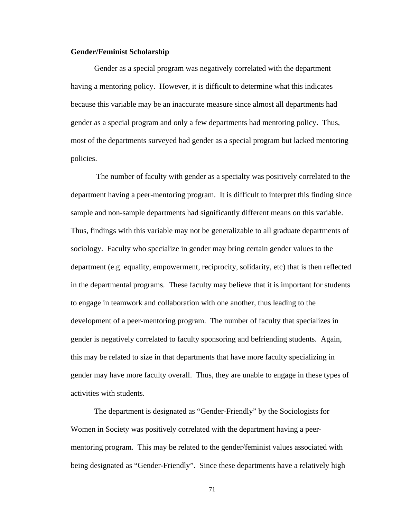## **Gender/Feminist Scholarship**

Gender as a special program was negatively correlated with the department having a mentoring policy. However, it is difficult to determine what this indicates because this variable may be an inaccurate measure since almost all departments had gender as a special program and only a few departments had mentoring policy. Thus, most of the departments surveyed had gender as a special program but lacked mentoring policies.

 The number of faculty with gender as a specialty was positively correlated to the department having a peer-mentoring program. It is difficult to interpret this finding since sample and non-sample departments had significantly different means on this variable. Thus, findings with this variable may not be generalizable to all graduate departments of sociology. Faculty who specialize in gender may bring certain gender values to the department (e.g. equality, empowerment, reciprocity, solidarity, etc) that is then reflected in the departmental programs. These faculty may believe that it is important for students to engage in teamwork and collaboration with one another, thus leading to the development of a peer-mentoring program. The number of faculty that specializes in gender is negatively correlated to faculty sponsoring and befriending students. Again, this may be related to size in that departments that have more faculty specializing in gender may have more faculty overall. Thus, they are unable to engage in these types of activities with students.

The department is designated as "Gender-Friendly" by the Sociologists for Women in Society was positively correlated with the department having a peermentoring program. This may be related to the gender/feminist values associated with being designated as "Gender-Friendly". Since these departments have a relatively high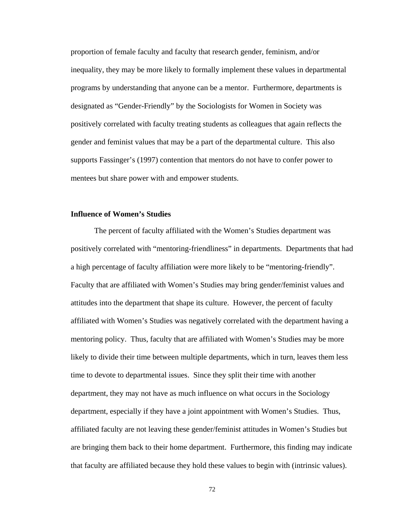proportion of female faculty and faculty that research gender, feminism, and/or inequality, they may be more likely to formally implement these values in departmental programs by understanding that anyone can be a mentor. Furthermore, departments is designated as "Gender-Friendly" by the Sociologists for Women in Society was positively correlated with faculty treating students as colleagues that again reflects the gender and feminist values that may be a part of the departmental culture. This also supports Fassinger's (1997) contention that mentors do not have to confer power to mentees but share power with and empower students.

## **Influence of Women's Studies**

The percent of faculty affiliated with the Women's Studies department was positively correlated with "mentoring-friendliness" in departments. Departments that had a high percentage of faculty affiliation were more likely to be "mentoring-friendly". Faculty that are affiliated with Women's Studies may bring gender/feminist values and attitudes into the department that shape its culture. However, the percent of faculty affiliated with Women's Studies was negatively correlated with the department having a mentoring policy. Thus, faculty that are affiliated with Women's Studies may be more likely to divide their time between multiple departments, which in turn, leaves them less time to devote to departmental issues. Since they split their time with another department, they may not have as much influence on what occurs in the Sociology department, especially if they have a joint appointment with Women's Studies. Thus, affiliated faculty are not leaving these gender/feminist attitudes in Women's Studies but are bringing them back to their home department. Furthermore, this finding may indicate that faculty are affiliated because they hold these values to begin with (intrinsic values).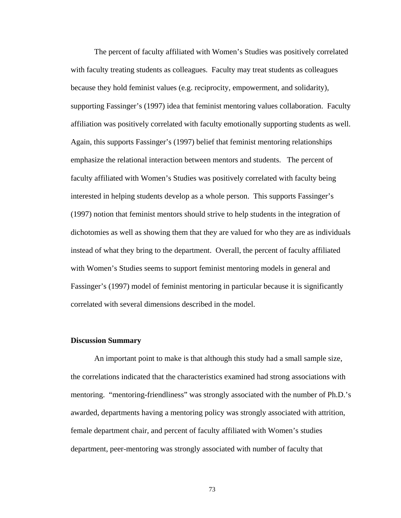The percent of faculty affiliated with Women's Studies was positively correlated with faculty treating students as colleagues. Faculty may treat students as colleagues because they hold feminist values (e.g. reciprocity, empowerment, and solidarity), supporting Fassinger's (1997) idea that feminist mentoring values collaboration. Faculty affiliation was positively correlated with faculty emotionally supporting students as well. Again, this supports Fassinger's (1997) belief that feminist mentoring relationships emphasize the relational interaction between mentors and students. The percent of faculty affiliated with Women's Studies was positively correlated with faculty being interested in helping students develop as a whole person. This supports Fassinger's (1997) notion that feminist mentors should strive to help students in the integration of dichotomies as well as showing them that they are valued for who they are as individuals instead of what they bring to the department. Overall, the percent of faculty affiliated with Women's Studies seems to support feminist mentoring models in general and Fassinger's (1997) model of feminist mentoring in particular because it is significantly correlated with several dimensions described in the model.

### **Discussion Summary**

An important point to make is that although this study had a small sample size, the correlations indicated that the characteristics examined had strong associations with mentoring. "mentoring-friendliness" was strongly associated with the number of Ph.D.'s awarded, departments having a mentoring policy was strongly associated with attrition, female department chair, and percent of faculty affiliated with Women's studies department, peer-mentoring was strongly associated with number of faculty that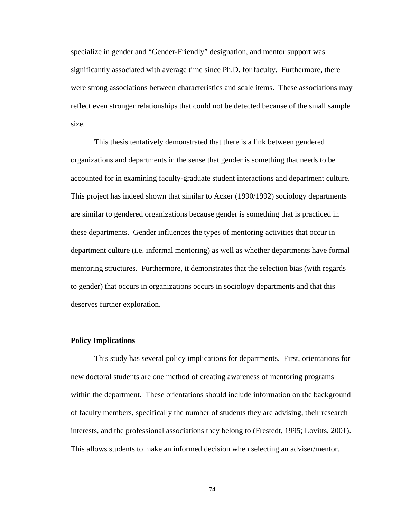specialize in gender and "Gender-Friendly" designation, and mentor support was significantly associated with average time since Ph.D. for faculty. Furthermore, there were strong associations between characteristics and scale items. These associations may reflect even stronger relationships that could not be detected because of the small sample size.

 This thesis tentatively demonstrated that there is a link between gendered organizations and departments in the sense that gender is something that needs to be accounted for in examining faculty-graduate student interactions and department culture. This project has indeed shown that similar to Acker (1990/1992) sociology departments are similar to gendered organizations because gender is something that is practiced in these departments. Gender influences the types of mentoring activities that occur in department culture (i.e. informal mentoring) as well as whether departments have formal mentoring structures. Furthermore, it demonstrates that the selection bias (with regards to gender) that occurs in organizations occurs in sociology departments and that this deserves further exploration.

## **Policy Implications**

This study has several policy implications for departments. First, orientations for new doctoral students are one method of creating awareness of mentoring programs within the department. These orientations should include information on the background of faculty members, specifically the number of students they are advising, their research interests, and the professional associations they belong to (Frestedt, 1995; Lovitts, 2001). This allows students to make an informed decision when selecting an adviser/mentor.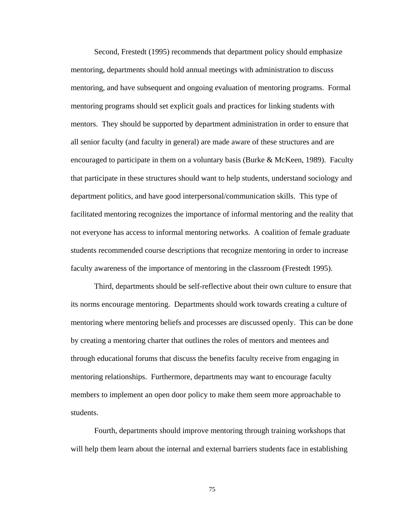Second, Frestedt (1995) recommends that department policy should emphasize mentoring, departments should hold annual meetings with administration to discuss mentoring, and have subsequent and ongoing evaluation of mentoring programs. Formal mentoring programs should set explicit goals and practices for linking students with mentors. They should be supported by department administration in order to ensure that all senior faculty (and faculty in general) are made aware of these structures and are encouraged to participate in them on a voluntary basis (Burke & McKeen, 1989). Faculty that participate in these structures should want to help students, understand sociology and department politics, and have good interpersonal/communication skills. This type of facilitated mentoring recognizes the importance of informal mentoring and the reality that not everyone has access to informal mentoring networks. A coalition of female graduate students recommended course descriptions that recognize mentoring in order to increase faculty awareness of the importance of mentoring in the classroom (Frestedt 1995).

Third, departments should be self-reflective about their own culture to ensure that its norms encourage mentoring. Departments should work towards creating a culture of mentoring where mentoring beliefs and processes are discussed openly. This can be done by creating a mentoring charter that outlines the roles of mentors and mentees and through educational forums that discuss the benefits faculty receive from engaging in mentoring relationships. Furthermore, departments may want to encourage faculty members to implement an open door policy to make them seem more approachable to students.

Fourth, departments should improve mentoring through training workshops that will help them learn about the internal and external barriers students face in establishing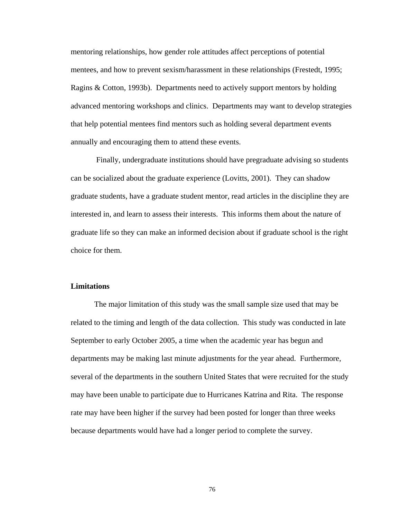mentoring relationships, how gender role attitudes affect perceptions of potential mentees, and how to prevent sexism/harassment in these relationships (Frestedt, 1995; Ragins & Cotton, 1993b). Departments need to actively support mentors by holding advanced mentoring workshops and clinics. Departments may want to develop strategies that help potential mentees find mentors such as holding several department events annually and encouraging them to attend these events.

 Finally, undergraduate institutions should have pregraduate advising so students can be socialized about the graduate experience (Lovitts, 2001). They can shadow graduate students, have a graduate student mentor, read articles in the discipline they are interested in, and learn to assess their interests. This informs them about the nature of graduate life so they can make an informed decision about if graduate school is the right choice for them.

## **Limitations**

The major limitation of this study was the small sample size used that may be related to the timing and length of the data collection. This study was conducted in late September to early October 2005, a time when the academic year has begun and departments may be making last minute adjustments for the year ahead. Furthermore, several of the departments in the southern United States that were recruited for the study may have been unable to participate due to Hurricanes Katrina and Rita. The response rate may have been higher if the survey had been posted for longer than three weeks because departments would have had a longer period to complete the survey.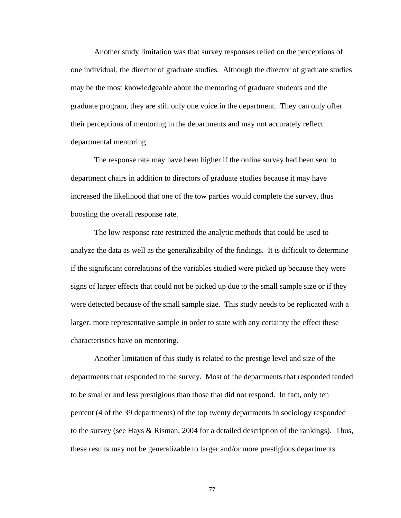Another study limitation was that survey responses relied on the perceptions of one individual, the director of graduate studies. Although the director of graduate studies may be the most knowledgeable about the mentoring of graduate students and the graduate program, they are still only one voice in the department. They can only offer their perceptions of mentoring in the departments and may not accurately reflect departmental mentoring.

The response rate may have been higher if the online survey had been sent to department chairs in addition to directors of graduate studies because it may have increased the likelihood that one of the tow parties would complete the survey, thus boosting the overall response rate.

The low response rate restricted the analytic methods that could be used to analyze the data as well as the generalizabilty of the findings. It is difficult to determine if the significant correlations of the variables studied were picked up because they were signs of larger effects that could not be picked up due to the small sample size or if they were detected because of the small sample size. This study needs to be replicated with a larger, more representative sample in order to state with any certainty the effect these characteristics have on mentoring.

 Another limitation of this study is related to the prestige level and size of the departments that responded to the survey. Most of the departments that responded tended to be smaller and less prestigious than those that did not respond. In fact, only ten percent (4 of the 39 departments) of the top twenty departments in sociology responded to the survey (see Hays & Risman, 2004 for a detailed description of the rankings). Thus, these results may not be generalizable to larger and/or more prestigious departments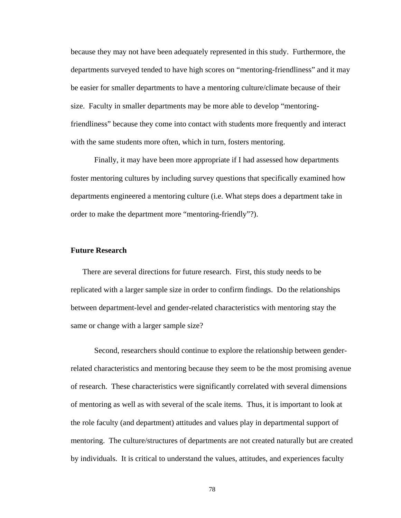because they may not have been adequately represented in this study. Furthermore, the departments surveyed tended to have high scores on "mentoring-friendliness" and it may be easier for smaller departments to have a mentoring culture/climate because of their size. Faculty in smaller departments may be more able to develop "mentoringfriendliness" because they come into contact with students more frequently and interact with the same students more often, which in turn, fosters mentoring.

Finally, it may have been more appropriate if I had assessed how departments foster mentoring cultures by including survey questions that specifically examined how departments engineered a mentoring culture (i.e. What steps does a department take in order to make the department more "mentoring-friendly"?).

## **Future Research**

There are several directions for future research. First, this study needs to be replicated with a larger sample size in order to confirm findings. Do the relationships between department-level and gender-related characteristics with mentoring stay the same or change with a larger sample size?

 Second, researchers should continue to explore the relationship between genderrelated characteristics and mentoring because they seem to be the most promising avenue of research. These characteristics were significantly correlated with several dimensions of mentoring as well as with several of the scale items. Thus, it is important to look at the role faculty (and department) attitudes and values play in departmental support of mentoring. The culture/structures of departments are not created naturally but are created by individuals. It is critical to understand the values, attitudes, and experiences faculty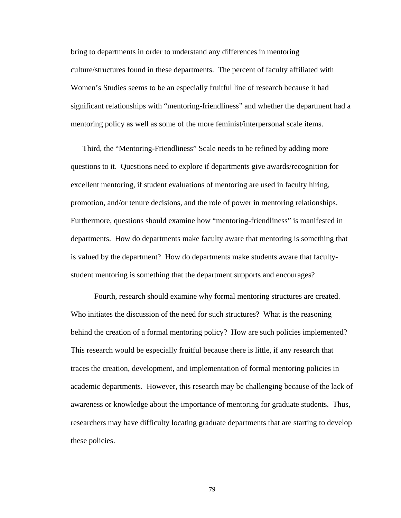bring to departments in order to understand any differences in mentoring culture/structures found in these departments. The percent of faculty affiliated with Women's Studies seems to be an especially fruitful line of research because it had significant relationships with "mentoring-friendliness" and whether the department had a mentoring policy as well as some of the more feminist/interpersonal scale items.

Third, the "Mentoring-Friendliness" Scale needs to be refined by adding more questions to it. Questions need to explore if departments give awards/recognition for excellent mentoring, if student evaluations of mentoring are used in faculty hiring, promotion, and/or tenure decisions, and the role of power in mentoring relationships. Furthermore, questions should examine how "mentoring-friendliness" is manifested in departments. How do departments make faculty aware that mentoring is something that is valued by the department? How do departments make students aware that facultystudent mentoring is something that the department supports and encourages?

Fourth, research should examine why formal mentoring structures are created. Who initiates the discussion of the need for such structures? What is the reasoning behind the creation of a formal mentoring policy? How are such policies implemented? This research would be especially fruitful because there is little, if any research that traces the creation, development, and implementation of formal mentoring policies in academic departments. However, this research may be challenging because of the lack of awareness or knowledge about the importance of mentoring for graduate students. Thus, researchers may have difficulty locating graduate departments that are starting to develop these policies.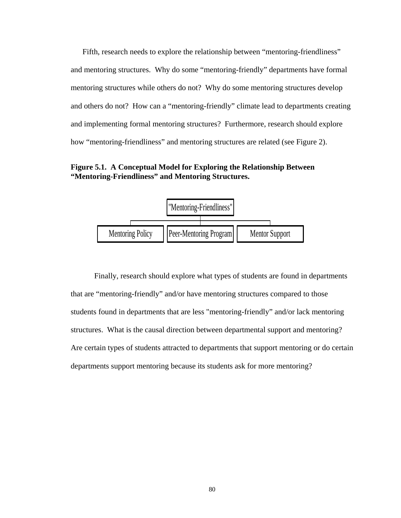Fifth, research needs to explore the relationship between "mentoring-friendliness" and mentoring structures. Why do some "mentoring-friendly" departments have formal mentoring structures while others do not? Why do some mentoring structures develop and others do not? How can a "mentoring-friendly" climate lead to departments creating and implementing formal mentoring structures? Furthermore, research should explore how "mentoring-friendliness" and mentoring structures are related (see Figure 2).

**Figure 5.1. A Conceptual Model for Exploring the Relationship Between "Mentoring-Friendliness" and Mentoring Structures.** 



Finally, research should explore what types of students are found in departments that are "mentoring-friendly" and/or have mentoring structures compared to those students found in departments that are less "mentoring-friendly" and/or lack mentoring structures. What is the causal direction between departmental support and mentoring? Are certain types of students attracted to departments that support mentoring or do certain departments support mentoring because its students ask for more mentoring?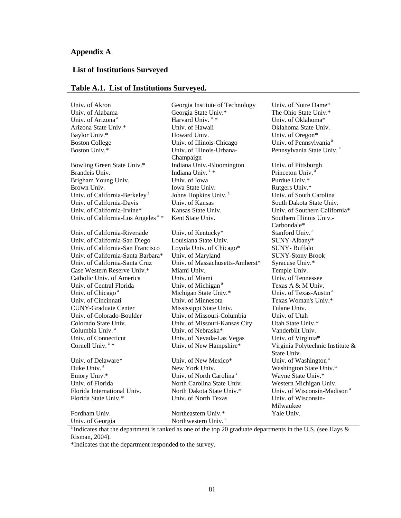# **Appendix A**

# **List of Institutions Surveyed**

| Univ. of Akron                                 | Georgia Institute of Technology      | Univ. of Notre Dame*                    |
|------------------------------------------------|--------------------------------------|-----------------------------------------|
| Univ. of Alabama                               | Georgia State Univ.*                 | The Ohio State Univ.*                   |
| Univ. of Arizona <sup>a</sup>                  | Harvard Univ. <sup>a</sup> *         | Univ. of Oklahoma*                      |
| Arizona State Univ.*                           | Univ. of Hawaii                      | Oklahoma State Univ.                    |
| Baylor Univ.*                                  | Howard Univ.                         | Univ. of Oregon*                        |
| <b>Boston College</b>                          | Univ. of Illinois-Chicago            | Univ. of Pennsylvania <sup>a</sup>      |
| Boston Univ.*                                  | Univ. of Illinois-Urbana-            | Pennsylvania State Univ. <sup>a</sup>   |
|                                                | Champaign                            |                                         |
| Bowling Green State Univ.*                     | Indiana Univ.-Bloomington            | Univ. of Pittsburgh                     |
| Brandeis Univ.                                 | Indiana Univ. <sup>a</sup> *         | Princeton Univ. <sup>a</sup>            |
| Brigham Young Univ.                            | Univ. of Iowa                        | Purdue Univ.*                           |
| Brown Univ.                                    | Iowa State Univ.                     | Rutgers Univ.*                          |
| Univ. of California-Berkeley <sup>a</sup>      | Johns Hopkins Univ. <sup>a</sup>     | Univ. of South Carolina                 |
| Univ. of California-Davis                      | Univ. of Kansas                      | South Dakota State Univ.                |
| Univ. of California-Irvine*                    | Kansas State Univ.                   | Univ. of Southern California*           |
| Univ. of California-Los Angeles <sup>a</sup> * | Kent State Univ.                     | Southern Illinois Univ.-                |
|                                                |                                      | Carbondale*                             |
| Univ. of California-Riverside                  | Univ. of Kentucky*                   | Stanford Univ. <sup>4</sup>             |
| Univ. of California-San Diego                  | Louisiana State Univ.                | SUNY-Albany*                            |
| Univ. of California-San Francisco              | Loyola Univ. of Chicago*             | SUNY-Buffalo                            |
| Univ. of California-Santa Barbara*             | Univ. of Maryland                    | <b>SUNY-Stony Brook</b>                 |
| Univ. of California-Santa Cruz                 | Univ. of Massachusetts-Amherst*      | Syracuse Univ.*                         |
| Case Western Reserve Univ.*                    | Miami Univ.                          | Temple Univ.                            |
| Catholic Univ. of America                      | Univ. of Miami                       | Univ. of Tennessee                      |
| Univ. of Central Florida                       | Univ. of Michigan <sup>a</sup>       | Texas A & M Univ.                       |
| Univ. of Chicago <sup>a</sup>                  | Michigan State Univ.*                | Univ. of Texas-Austin <sup>a</sup>      |
| Univ. of Cincinnati                            | Univ. of Minnesota                   | Texas Woman's Univ.*                    |
| <b>CUNY-Graduate Center</b>                    | Mississippi State Univ.              | Tulane Univ.                            |
| Univ. of Colorado-Boulder                      | Univ. of Missouri-Columbia           | Univ. of Utah                           |
| Colorado State Univ.                           | Univ. of Missouri-Kansas City        | Utah State Univ.*                       |
| Columbia Univ. <sup>a</sup>                    | Univ. of Nebraska*                   | Vanderbilt Univ.                        |
| Univ. of Connecticut                           | Univ. of Nevada-Las Vegas            | Univ. of Virginia*                      |
| Cornell Univ. <sup>a</sup> *                   | Univ. of New Hampshire*              | Virginia Polytechnic Institute &        |
|                                                |                                      | State Univ.                             |
| Univ. of Delaware*                             | Univ. of New Mexico*                 | Univ. of Washington <sup>a</sup>        |
| Duke Univ. <sup>a</sup>                        | New York Univ.                       | Washington State Univ.*                 |
| Emory Univ.*                                   | Univ. of North Carolina <sup>a</sup> | Wayne State Univ.*                      |
| Univ. of Florida                               | North Carolina State Univ.           | Western Michigan Univ.                  |
| Florida International Univ.                    | North Dakota State Univ.*            | Univ. of Wisconsin-Madison <sup>a</sup> |
| Florida State Univ.*                           | Univ. of North Texas                 | Univ. of Wisconsin-                     |
|                                                |                                      | Milwaukee                               |
| Fordham Univ.                                  | Northeastern Univ.*                  | Yale Univ.                              |
| Univ. of Georgia                               | Northwestern Univ. <sup>a</sup>      |                                         |

# **Table A.1. List of Institutions Surveyed.**

<sup>a</sup> Indicates that the department is ranked as one of the top 20 graduate departments in the U.S. (see Hays  $\&$ Risman, 2004).

\*Indicates that the department responded to the survey.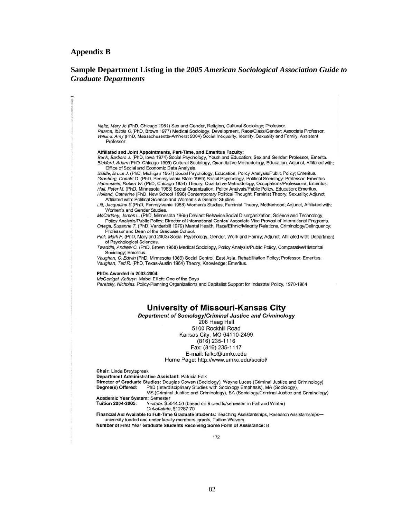### **Appendix B**

## **Sample Department Listing in the** *2005 American Sociological Association Guide to Graduate Departments*

Neitz, Mary Jo (PhD, Chicago 1981) Sex and Gender, Religion, Cultural Sociology; Professor. Pearce, Ibitola O. (PhD, Brown 1977) Medical Sociology, Development, Race/Class/Gender; Associate Professor. Wilkins, Amy (PhD, Massachussetts-Amherst 2004) Social Inequality, Identity, Sexuality and Family; Assistant Professor.

#### Affiliated and Joint Appointments, Part-Time, and Emeritus Faculty:

Bank, Barbara J. (PhD, Iowa 1974) Social Psychology, Youth and Education, Sex and Gender; Professor, Emerita. Bickford, Adam (PhD, Chicago 1995) Cultural Sociology, Quantitative Methodology, Education; Adjunct, Affiliated with; Office of Social and Economic Data Analysis.

Biddle, Bruce J. (PhD, Michigan 1957) Social Psychology, Education, Policy Analysis/Public Policy; Emeritus. Granberg, Donald O. (PhD, Pennsylvania State 1969) Social Psychology, Political Sociology; Professor, Emeritus. Habenstein, Robert W. (PhD, Chicago 1954) Theory, Qualitative Methodology, Occupations/Professions; Emeritus. Hall, Peter M. (PhD, Minnesota 1963) Social Organization, Policy Analysis/Public Policy, Education; Emeritus. Holland, Catherine (PhD, New School 1996) Contemporary Political Thought, Feminist Theory, Sexuality; Adjunct, Affiliated with: Political Science and Women's & Gender Studies.

Litt, Jacqualine S.(PhD, Pennsylvania 1988) Women's Studies, Feminist Theory, Motherhood; Adjunct, Affiliated with: Women's and Gender Studies.

McCartney, James L. (PhD, Minnesota 1965) Deviant Behavior/Social Disorganization, Science and Technology, Policy Analysis/Public Policy; Director of International Center/ Associate Vice Provost of International Programs. Ortega, Suzanne T. (PhD, Vanderbilt 1979) Mental Health, Race/Ethnic/Minority Relations, Criminology/Delinquency;

Professor and Dean of the Graduate School. Pioli, Mark F. (PhD, Maryland 2003) Social Psychology, Gender, Work and Family; Adjunct, Affiliated with: Department

of Psychological Sciences. Twaddle, Andrew C. (PhD, Brown 1968) Medical Sociology, Policy Analysis/Public Policy, Comparative/Historical

Sociology; Emeritus.

Vaughan, C. Edwin (PhD, Minnesota 1969) Social Control, East Asia, Rehabilitation Policy; Professor, Emeritus. Vaughan, Ted R. (PhD, Texas-Austin 1964) Theory, Knowledge; Emeritus.

#### PhDs Awarded in 2003-2004:

McGonigal, Kathryn. Mabel Elliott: One of the Boys

Paretsky, Nicholas. Policy-Planning Organizations and Capitalist Support for Industrial Policy, 1970-1984

## **University of Missouri-Kansas City**

Department of Sociology/Criminal Justice and Criminology

208 Haag Hall

5100 Rockhill Road

Kansas City, MO 64110-2499

 $(816)$  235-1116

Fax: (816) 235-1117

E-mail: falkp@umkc.edu

Home Page: http://www.umkc.edu/sociol/

Chair: Linda Breytspraak

Department Administrative Assistant: Patricia Falk

Director of Graduate Studies: Douglas Cowan (Sociology), Wayne Lucas (Criminal Justice and Criminology) Degree(s) Offered: PhD (Interdisciplinary Studies with Sociology Emphasis), MA (Sociology),

MS (Criminal Justice and Criminology), BA (Sociology/Criminal Justice and Criminology) Academic Year System: Semester

In-state: \$5044.50 (based on 9 credits/semester in Fall and Winter) Tuition 2004-2005:

Out-of-state, \$12287.70

Financial Aid Available to Full-Time Graduate Students: Teaching Assistantships, Research Assistantshipsuniversity funded and under faculty members' grants, Tuition Waivers

Number of First Year Graduate Students Receiving Some Form of Assistance: 8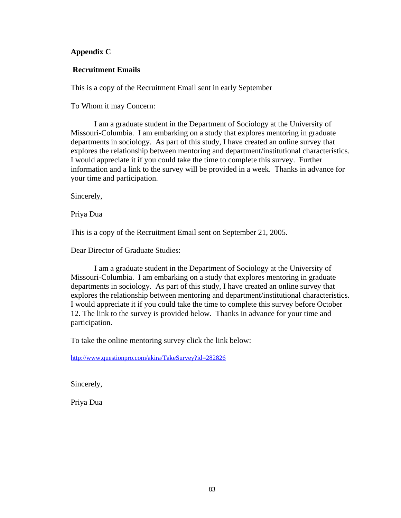# **Appendix C**

## **Recruitment Emails**

This is a copy of the Recruitment Email sent in early September

To Whom it may Concern:

 I am a graduate student in the Department of Sociology at the University of Missouri-Columbia. I am embarking on a study that explores mentoring in graduate departments in sociology. As part of this study, I have created an online survey that explores the relationship between mentoring and department/institutional characteristics. I would appreciate it if you could take the time to complete this survey. Further information and a link to the survey will be provided in a week. Thanks in advance for your time and participation.

Sincerely,

Priya Dua

This is a copy of the Recruitment Email sent on September 21, 2005.

Dear Director of Graduate Studies:

 I am a graduate student in the Department of Sociology at the University of Missouri-Columbia. I am embarking on a study that explores mentoring in graduate departments in sociology. As part of this study, I have created an online survey that explores the relationship between mentoring and department/institutional characteristics. I would appreciate it if you could take the time to complete this survey before October 12. The link to the survey is provided below. Thanks in advance for your time and participation.

To take the online mentoring survey click the link below:

http://www.questionpro.com/akira/TakeSurvey?id=282826

Sincerely,

Priya Dua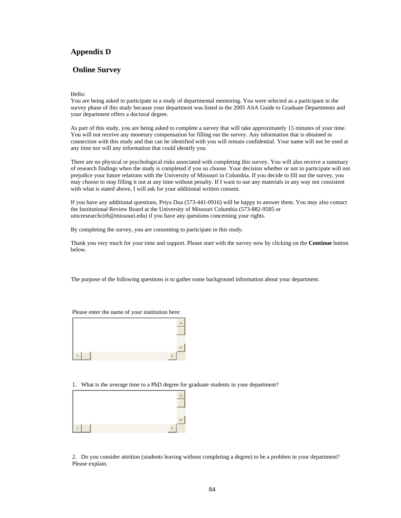## **Appendix D**

## **Online Survey**

#### Hello:

You are being asked to participate in a study of departmental mentoring. You were selected as a participant in the survey phase of this study because your department was listed in the 2005 ASA Guide to Graduate Departments and your department offers a doctoral degree.

As part of this study, you are being asked to complete a survey that will take approximately 15 minutes of your time. You will not receive any monetary compensation for filling out the survey. Any information that is obtained in connection with this study and that can be identified with you will remain confidential. Your name will not be used at any time nor will any information that could identify you.

There are no physical or psychological risks associated with completing this survey. You will also receive a summary of research findings when the study is completed if you so choose. Your decision whether or not to participate will not prejudice your future relations with the University of Missouri in Columbia. If you decide to fill out the survey, you may choose to stop filling it out at any time without penalty. If I want to use any materials in any way not consistent with what is stated above, I will ask for your additional written consent.

If you have any additional questions, Priya Dua (573-441-0916) will be happy to answer them. You may also contact the Institutional Review Board at the University of Missouri Columbia (573-882-9585 or umcresearchcirb@missouri.edu) if you have any questions concerning your rights.

By completing the survey, you are consenting to participate in this study.

Thank you very much for your time and support. Please start with the survey now by clicking on the **Continue** button below.

The purpose of the following questions is to gather some background information about your department.

#### Please enter the name of your institution here:



1. What is the average time to a PhD degree for graduate students in your department?



2. Do you consider attrition (students leaving without completing a degree) to be a problem in your department? Please explain.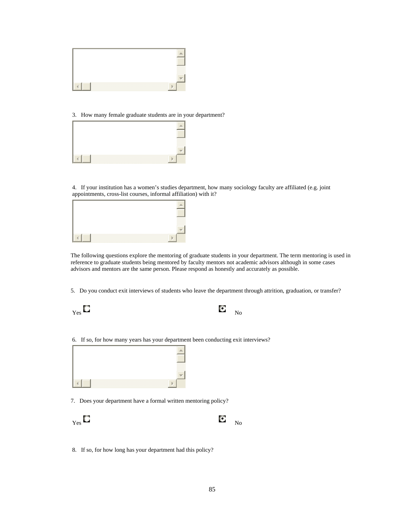

3. How many female graduate students are in your department?



4. If your institution has a women's studies department, how many sociology faculty are affiliated (e.g. joint appointments, cross-list courses, informal affiliation) with it?



The following questions explore the mentoring of graduate students in your department. The term mentoring is used in reference to graduate students being mentored by faculty mentors not academic advisors although in some cases advisors and mentors are the same person. Please respond as honestly and accurately as possible.

5. Do you conduct exit interviews of students who leave the department through attrition, graduation, or transfer?

| <b>Contract</b><br>b. d<br>Yes | <b>Contract</b><br>IJ.<br>$\sim$ | No<br>ιv |
|--------------------------------|----------------------------------|----------|
|--------------------------------|----------------------------------|----------|

6. If so, for how many years has your department been conducting exit interviews?



7. Does your department have a formal written mentoring policy?



8. If so, for how long has your department had this policy?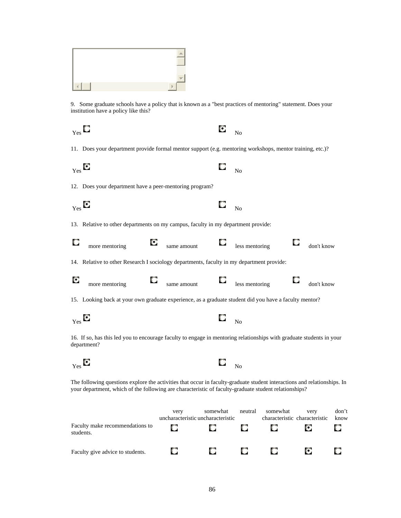

9. Some graduate schools have a policy that is known as a "best practices of mentoring" statement. Does your institution have a policy like this?

| Yes |                                                                                                                                     |             | О | N <sub>0</sub> |   |            |
|-----|-------------------------------------------------------------------------------------------------------------------------------------|-------------|---|----------------|---|------------|
|     | 11. Does your department provide formal mentor support (e.g. mentoring workshops, mentor training, etc.)?                           |             |   |                |   |            |
|     | $Y_{\text{es}}$                                                                                                                     |             | u | N <sub>0</sub> |   |            |
|     | 12. Does your department have a peer-mentoring program?                                                                             |             |   |                |   |            |
|     | $_{\rm Yes}$                                                                                                                        |             | O | $\overline{N}$ |   |            |
|     | 13. Relative to other departments on my campus, faculty in my department provide:                                                   |             |   |                |   |            |
|     | О<br>more mentoring                                                                                                                 | same amount | O | less mentoring | O | don't know |
|     | 14. Relative to other Research I sociology departments, faculty in my department provide:                                           |             |   |                |   |            |
| О   | more mentoring                                                                                                                      | same amount | O | less mentoring | u | don't know |
|     | 15. Looking back at your own graduate experience, as a graduate student did you have a faculty mentor?                              |             |   |                |   |            |
|     | $_{\rm Yes}$                                                                                                                        |             | O | N <sub>0</sub> |   |            |
|     | 16. If so, has this led you to encourage faculty to engage in mentoring relationships with graduate students in your<br>department? |             |   |                |   |            |
|     | m                                                                                                                                   |             |   |                |   |            |

The following questions explore the activities that occur in faculty-graduate student interactions and relationships. In your department, which of the following are characteristic of faculty-graduate student relationships?

 $Y_{\text{es}}$  No  $\blacksquare$ 

|                                              | very       | somewhat<br>uncharacteristic uncharacteristic | neutral | somewhat | very<br>characteristic characteristic | don't<br>know |
|----------------------------------------------|------------|-----------------------------------------------|---------|----------|---------------------------------------|---------------|
| Faculty make recommendations to<br>students. | $\Box$     | u                                             |         | О.       | ТO.                                   |               |
| Faculty give advice to students.             | <b>COL</b> |                                               |         | O.       | C.                                    |               |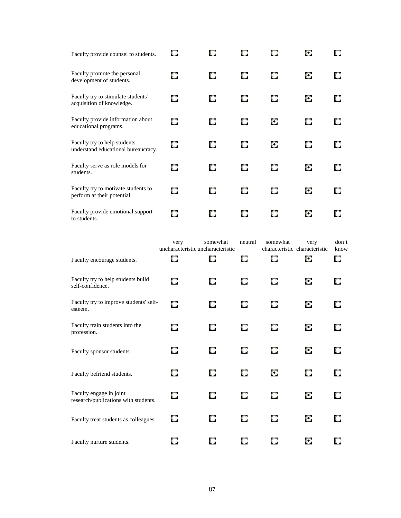| Faculty provide counsel to students.                                | О | О |   | o | О |   |
|---------------------------------------------------------------------|---|---|---|---|---|---|
| Faculty promote the personal<br>development of students.            | О | О | О | О | О |   |
| Faculty try to stimulate students'<br>acquisition of knowledge.     | О | O | о | О | о |   |
| Faculty provide information about<br>educational programs.          | O | O | о | O | o | O |
| Faculty try to help students<br>understand educational bureaucracy. | O | о | O | O | O |   |
| Faculty serve as role models for<br>students.                       | О | o | О | О | о |   |
| Faculty try to motivate students to<br>perform at their potential.  | О | o | О | О | о |   |
| Faculty provide emotional support<br>to students.                   | O |   |   | Ο | О |   |

|                                                                 | very | somewhat<br>uncharacteristic uncharacteristic | neutral | somewhat | very<br>characteristic characteristic | don't<br>know |
|-----------------------------------------------------------------|------|-----------------------------------------------|---------|----------|---------------------------------------|---------------|
| Faculty encourage students.                                     | O    | O                                             | О       | О        | О                                     | О             |
| Faculty try to help students build<br>self-confidence.          | О    | O                                             | O       | о        | O                                     | O             |
| Faculty try to improve students' self-<br>esteem.               | O    | O                                             | О       | O        | О                                     | O             |
| Faculty train students into the<br>profession.                  | O    | О                                             | O       | О        | О                                     | o             |
| Faculty sponsor students.                                       | О    | O                                             | О       | O        | О                                     | О             |
| Faculty befriend students.                                      | О    | O                                             | О       | O        | O                                     | о             |
| Faculty engage in joint<br>research/publications with students. | O    | О                                             | O       | O        | О                                     | O             |
| Faculty treat students as colleagues.                           | О    | O                                             | О       | О        | О                                     | О             |
| Faculty nurture students.                                       | О    | O                                             | O       | О        | О                                     |               |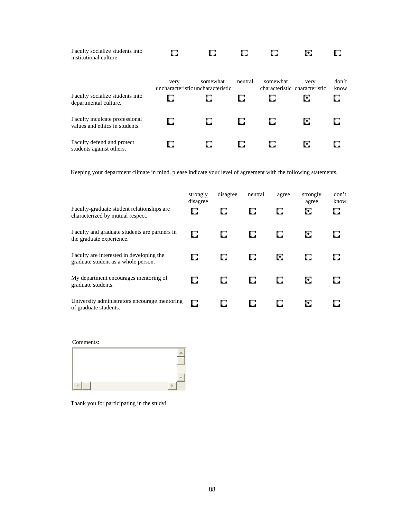| Faculty socialize students into<br>institutional culture.        | О    |                                               |         |          | O                                     |               |
|------------------------------------------------------------------|------|-----------------------------------------------|---------|----------|---------------------------------------|---------------|
|                                                                  | very | somewhat<br>uncharacteristic uncharacteristic | neutral | somewhat | very<br>characteristic characteristic | don't<br>know |
| Faculty socialize students into<br>departmental culture.         | о    |                                               | O       | u        | O                                     |               |
| Faculty inculcate professional<br>values and ethics in students. |      |                                               | O       | O        | O                                     |               |
| Faculty defend and protect<br>students against others.           |      |                                               | ш       |          | o                                     |               |

Keeping your department climate in mind, please indicate your level of agreement with the following statements.

| Faculty-graduate student relationships are.<br>characterized by mutual respect. | strongly<br>disagree | disagree<br>О | neutral<br>O | agree<br>O | strongly<br>agree<br>О | don't<br>know<br>О |
|---------------------------------------------------------------------------------|----------------------|---------------|--------------|------------|------------------------|--------------------|
| Faculty and graduate students are partners in<br>the graduate experience.       | O                    |               | O            | о          | О                      |                    |
| Faculty are interested in developing the<br>graduate student as a whole person. |                      |               | O            | О          | О                      |                    |
| My department encourages mentoring of<br>graduate students.                     | О                    |               | О            | O          | О                      |                    |
| University administrators encourage mentoring<br>of graduate students.          | O                    |               | O            | О          | о                      |                    |

Thank you for participating in the study!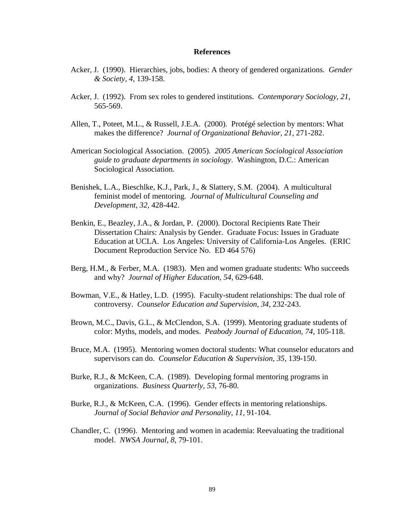## **References**

- Acker, J. (1990). Hierarchies, jobs, bodies: A theory of gendered organizations*. Gender & Society, 4,* 139-158.
- Acker, J. (1992). From sex roles to gendered institutions. *Contemporary Sociology, 21,* 565-569.
- Allen, T., Poteet, M.L., & Russell, J.E.A. (2000). Protégé selection by mentors: What makes the difference? *Journal of Organizational Behavior, 21,* 271-282.
- American Sociological Association. (2005). *2005 American Sociological Association guide to graduate departments in sociology*. Washington, D.C.: American Sociological Association.
- Benishek, L.A., Bieschlke, K.J., Park, J., & Slattery, S.M. (2004). A multicultural feminist model of mentoring. *Journal of Multicultural Counseling and Development, 32,* 428-442.
- Benkin, E., Beazley, J.A., & Jordan, P. (2000). Doctoral Recipients Rate Their Dissertation Chairs: Analysis by Gender. Graduate Focus: Issues in Graduate Education at UCLA. Los Angeles: University of California-Los Angeles. (ERIC Document Reproduction Service No. ED 464 576)
- Berg, H.M., & Ferber, M.A. (1983). Men and women graduate students: Who succeeds and why? *Journal of Higher Education, 54,* 629-648.
- Bowman, V.E., & Hatley, L.D. (1995). Faculty-student relationships: The dual role of controversy. *Counselor Education and Supervision, 34,* 232-243.
- Brown, M.C., Davis, G.L., & McClendon, S.A. (1999). Mentoring graduate students of color: Myths, models, and modes. *Peabody Journal of Education, 74,* 105-118.
- Bruce, M.A. (1995). Mentoring women doctoral students: What counselor educators and supervisors can do. *Counselor Education & Supervision, 35,* 139-150.
- Burke, R.J., & McKeen, C.A. (1989). Developing formal mentoring programs in organizations. *Business Quarterly, 53,* 76-80.
- Burke, R.J., & McKeen, C.A. (1996). Gender effects in mentoring relationships. *Journal of Social Behavior and Personality, 11,* 91-104.
- Chandler, C. (1996). Mentoring and women in academia: Reevaluating the traditional model. *NWSA Journal, 8,* 79-101.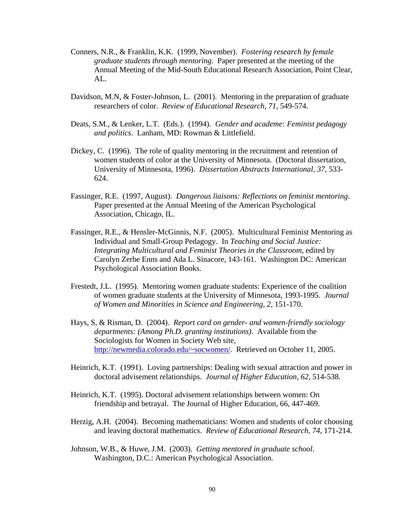- Conners, N.R., & Franklin, K.K. (1999, November). *Fostering research by female graduate students through mentoring*. Paper presented at the meeting of the Annual Meeting of the Mid-South Educational Research Association, Point Clear, AL.
- Davidson, M.N, & Foster-Johnson, L. (2001). Mentoring in the preparation of graduate researchers of color. *Review of Educational Research, 71,* 549-574.
- Deats, S.M., & Lenker, L.T. (Eds.). (1994). *Gender and academe: Feminist pedagogy and politics*. Lanham, MD: Rowman & Littlefield.
- Dickey, C. (1996). The role of quality mentoring in the recruitment and retention of women students of color at the University of Minnesota. (Doctoral dissertation, University of Minnesota, 1996). *Dissertation Abstracts International, 37,* 533- 624.
- Fassinger, R.E. (1997, August). *Dangerous liaisons: Reflections on feminist mentoring*. Paper presented at the Annual Meeting of the American Psychological Association, Chicago, IL.
- Fassinger, R.E., & Hensler-McGinnis, N.F. (2005). Multicultural Feminist Mentoring as Individual and Small-Group Pedagogy. In *Teaching and Social Justice: Integrating Multicultural and Feminist Theories in the Classroom*, edited by Carolyn Zerbe Enns and Ada L. Sinacore, 143-161. Washington DC: American Psychological Association Books.
- Frestedt, J.L. (1995). Mentoring women graduate students: Experience of the coalition of women graduate students at the University of Minnesota, 1993-1995. *Journal of Women and Minorities in Science and Engineering, 2,* 151-170.
- Hays, S, & Risman, D. (2004). *Report card on gender- and women-friendly sociology departments: (Among Ph.D. granting institutions)*. Available from the Sociologists for Women in Society Web site, http://newmedia.colorado.edu/~socwomen/. Retrieved on October 11, 2005.
- Heinrich, K.T. (1991). Loving partnerships: Dealing with sexual attraction and power in doctoral advisement relationships. *Journal of Higher Education, 62,* 514-538.
- Heinrich, K.T. (1995). Doctoral advisement relationships between women: On friendship and betrayal. The Journal of Higher Education, 66, 447-469.
- Herzig, A.H. (2004). Becoming mathematicians: Women and students of color choosing and leaving doctoral mathematics. *Review of Educational Research, 74,* 171-214.
- Johnson, W.B., & Huwe, J.M. (2003). *Getting mentored in graduate school*. Washington, D.C.: American Psychological Association.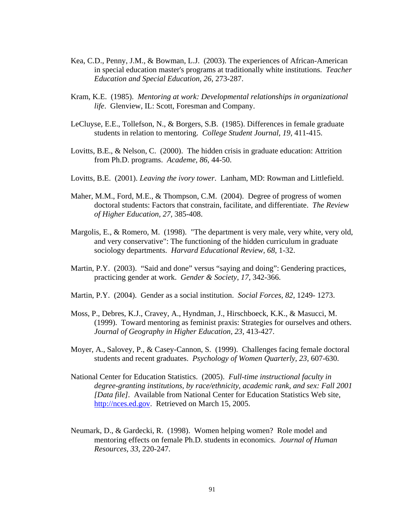- Kea, C.D., Penny, J.M., & Bowman, L.J. (2003). The experiences of African-American in special education master's programs at traditionally white institutions. *Teacher Education and Special Education, 26,* 273-287.
- Kram, K.E. (1985). *Mentoring at work: Developmental relationships in organizational life*. Glenview, IL: Scott, Foresman and Company.
- LeCluyse, E.E., Tollefson, N., & Borgers, S.B. (1985). Differences in female graduate students in relation to mentoring. *College Student Journal, 19,* 411-415.
- Lovitts, B.E., & Nelson, C. (2000). The hidden crisis in graduate education: Attrition from Ph.D. programs. *Academe, 86,* 44-50.
- Lovitts, B.E. (2001). *Leaving the ivory tower*. Lanham, MD: Rowman and Littlefield.
- Maher, M.M., Ford, M.E., & Thompson, C.M. (2004). Degree of progress of women doctoral students: Factors that constrain, facilitate, and differentiate. *The Review of Higher Education, 27,* 385-408.
- Margolis, E., & Romero, M. (1998). "The department is very male, very white, very old, and very conservative": The functioning of the hidden curriculum in graduate sociology departments. *Harvard Educational Review, 68,* 1-32.
- Martin, P.Y. (2003). "Said and done" versus "saying and doing": Gendering practices, practicing gender at work. *Gender & Society, 17,* 342-366.
- Martin, P.Y. (2004). Gender as a social institution. *Social Forces, 82,* 1249- 1273.
- Moss, P., Debres, K.J., Cravey, A., Hyndman, J., Hirschboeck, K.K., & Masucci, M. (1999). Toward mentoring as feminist praxis: Strategies for ourselves and others. *Journal of Geography in Higher Education, 23,* 413-427.
- Moyer, A., Salovey, P., & Casey-Cannon, S. (1999). Challenges facing female doctoral students and recent graduates. *Psychology of Women Quarterly, 23,* 607-630.
- National Center for Education Statistics. (2005). *Full-time instructional faculty in degree-granting institutions, by race/ethnicity, academic rank, and sex: Fall 2001 [Data file].* Available from National Center for Education Statistics Web site, http://nces.ed.gov. Retrieved on March 15, 2005.
- Neumark, D., & Gardecki, R. (1998). Women helping women? Role model and mentoring effects on female Ph.D. students in economics. *Journal of Human Resources, 33,* 220-247.